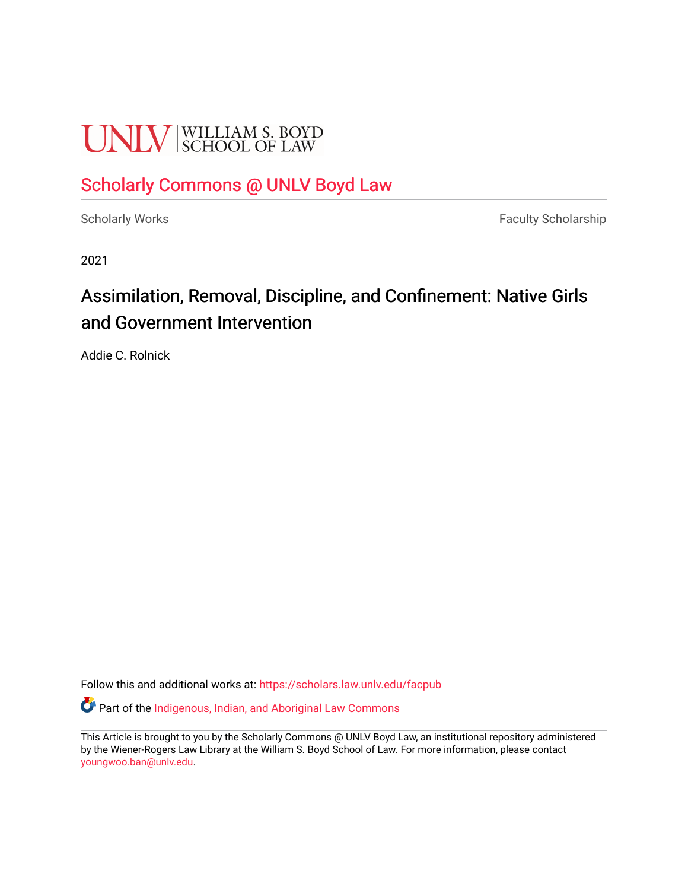# **UNLV** SCHOOL OF LAW

## [Scholarly Commons @ UNLV Boyd Law](https://scholars.law.unlv.edu/)

[Scholarly Works](https://scholars.law.unlv.edu/facpub) **Faculty Scholarship** Faculty Scholarship

2021

## Assimilation, Removal, Discipline, and Confinement: Native Girls and Government Intervention

Addie C. Rolnick

Follow this and additional works at: [https://scholars.law.unlv.edu/facpub](https://scholars.law.unlv.edu/facpub?utm_source=scholars.law.unlv.edu%2Ffacpub%2F1353&utm_medium=PDF&utm_campaign=PDFCoverPages)

Part of the [Indigenous, Indian, and Aboriginal Law Commons](http://network.bepress.com/hgg/discipline/894?utm_source=scholars.law.unlv.edu%2Ffacpub%2F1353&utm_medium=PDF&utm_campaign=PDFCoverPages) 

This Article is brought to you by the Scholarly Commons @ UNLV Boyd Law, an institutional repository administered by the Wiener-Rogers Law Library at the William S. Boyd School of Law. For more information, please contact [youngwoo.ban@unlv.edu.](mailto:youngwoo.ban@unlv.edu)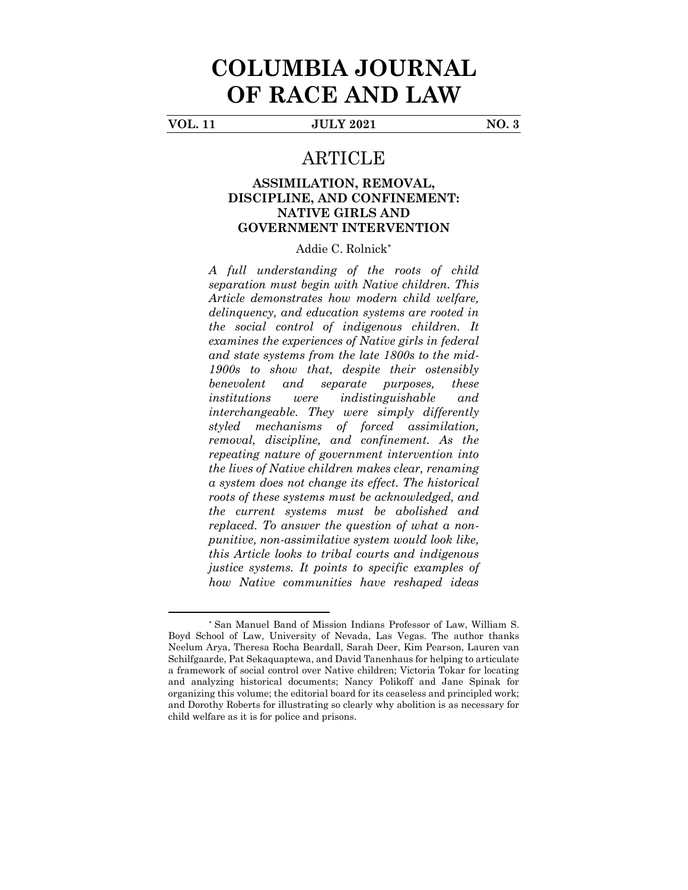## **COLUMBIA JOURNAL OF RACE AND LAW**

**VOL. 11 JULY 2021 NO. 3**

### ARTICLE

#### **ASSIMILATION, REMOVAL, DISCIPLINE, AND CONFINEMENT: NATIVE GIRLS AND GOVERNMENT INTERVENTION**

Addie C. Rolnick\*

*A full understanding of the roots of child separation must begin with Native children. This Article demonstrates how modern child welfare, delinquency, and education systems are rooted in the social control of indigenous children. It examines the experiences of Native girls in federal and state systems from the late 1800s to the mid-1900s to show that, despite their ostensibly benevolent and separate purposes, these institutions were indistinguishable and interchangeable. They were simply differently styled mechanisms of forced assimilation, removal, discipline, and confinement. As the repeating nature of government intervention into the lives of Native children makes clear, renaming a system does not change its effect. The historical roots of these systems must be acknowledged, and the current systems must be abolished and replaced. To answer the question of what a nonpunitive, non-assimilative system would look like, this Article looks to tribal courts and indigenous justice systems. It points to specific examples of how Native communities have reshaped ideas* 

<sup>\*</sup> San Manuel Band of Mission Indians Professor of Law, William S. Boyd School of Law, University of Nevada, Las Vegas. The author thanks Neelum Arya, Theresa Rocha Beardall, Sarah Deer, Kim Pearson, Lauren van Schilfgaarde, Pat Sekaquaptewa, and David Tanenhaus for helping to articulate a framework of social control over Native children; Victoria Tokar for locating and analyzing historical documents; Nancy Polikoff and Jane Spinak for organizing this volume; the editorial board for its ceaseless and principled work; and Dorothy Roberts for illustrating so clearly why abolition is as necessary for child welfare as it is for police and prisons.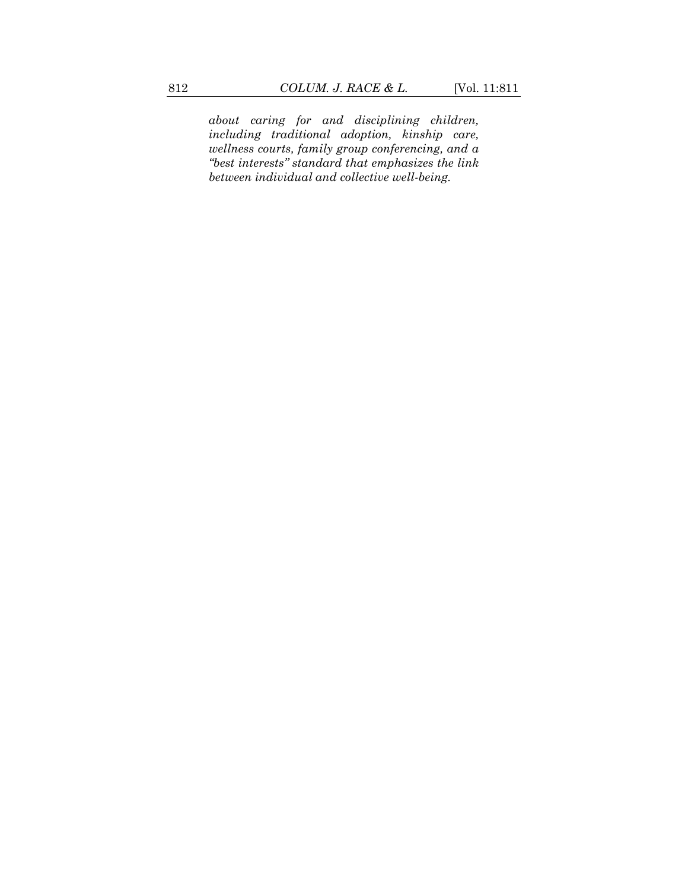*about caring for and disciplining children, including traditional adoption, kinship care, wellness courts, family group conferencing, and a "best interests" standard that emphasizes the link between individual and collective well-being.*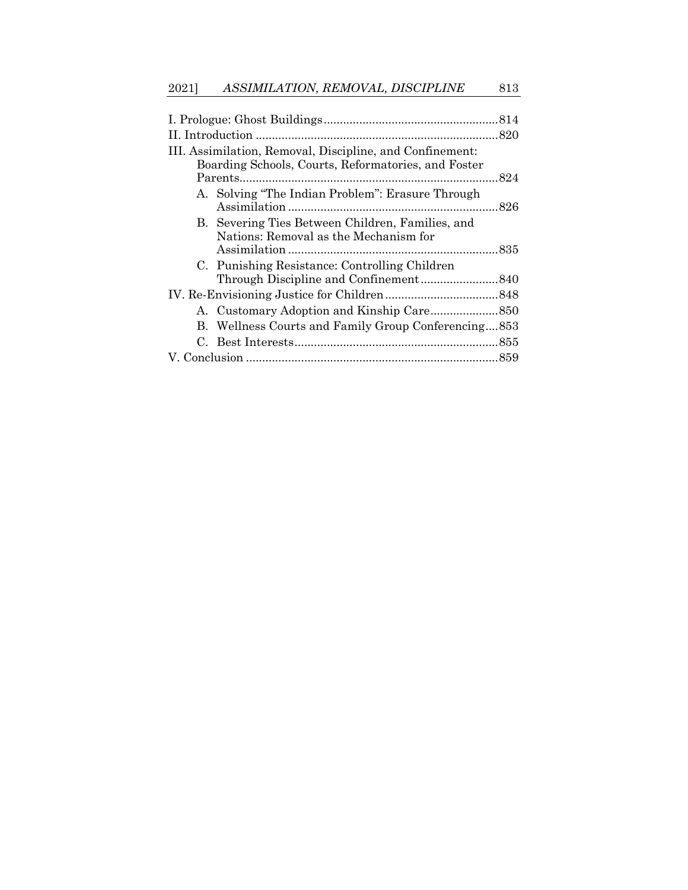| III. Assimilation, Removal, Discipline, and Confinement: |                                                     |  |
|----------------------------------------------------------|-----------------------------------------------------|--|
| Boarding Schools, Courts, Reformatories, and Foster      |                                                     |  |
|                                                          |                                                     |  |
|                                                          | A. Solving "The Indian Problem": Erasure Through    |  |
|                                                          |                                                     |  |
|                                                          | B. Severing Ties Between Children, Families, and    |  |
|                                                          | Nations: Removal as the Mechanism for               |  |
|                                                          |                                                     |  |
|                                                          | C. Punishing Resistance: Controlling Children       |  |
|                                                          |                                                     |  |
|                                                          |                                                     |  |
|                                                          |                                                     |  |
|                                                          | B. Wellness Courts and Family Group Conferencing853 |  |
|                                                          |                                                     |  |
|                                                          |                                                     |  |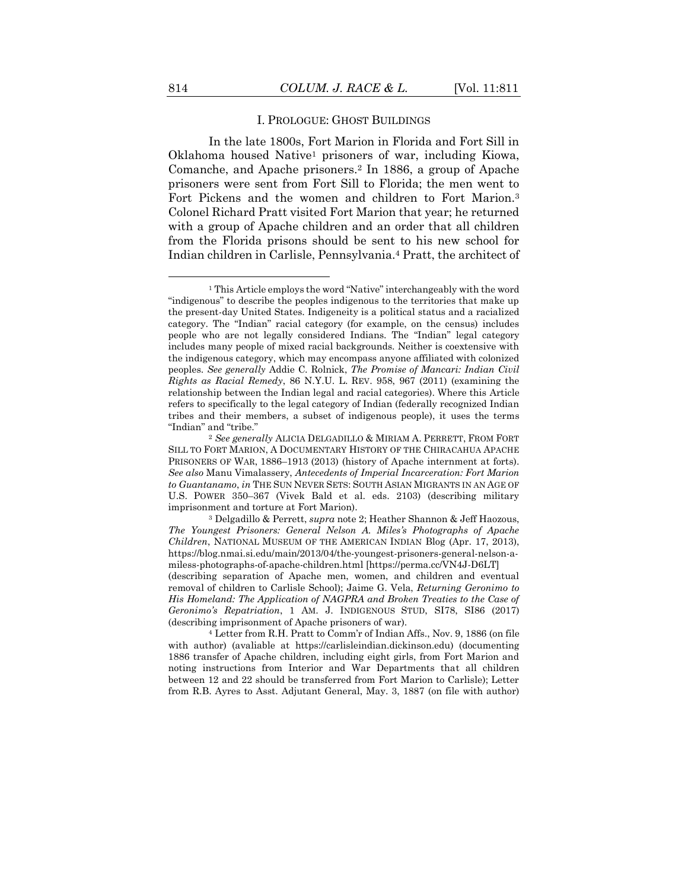<span id="page-4-0"></span>In the late 1800s, Fort Marion in Florida and Fort Sill in Oklahoma housed Native<sup>1</sup> prisoners of war, including Kiowa, Comanche, and Apache prisoners.<sup>2</sup> In 1886, a group of Apache prisoners were sent from Fort Sill to Florida; the men went to Fort Pickens and the women and children to Fort Marion.<sup>3</sup> Colonel Richard Pratt visited Fort Marion that year; he returned with a group of Apache children and an order that all children from the Florida prisons should be sent to his new school for Indian children in Carlisle, Pennsylvania.<sup>4</sup> Pratt, the architect of

<sup>1</sup> This Article employs the word "Native" interchangeably with the word "indigenous" to describe the peoples indigenous to the territories that make up the present-day United States. Indigeneity is a political status and a racialized category. The "Indian" racial category (for example, on the census) includes people who are not legally considered Indians. The "Indian" legal category includes many people of mixed racial backgrounds. Neither is coextensive with the indigenous category, which may encompass anyone affiliated with colonized peoples. *See generally* Addie C. Rolnick, *The Promise of Mancari: Indian Civil Rights as Racial Remedy*, 86 N.Y.U. L. REV. 958, 967 (2011) (examining the relationship between the Indian legal and racial categories). Where this Article refers to specifically to the legal category of Indian (federally recognized Indian tribes and their members, a subset of indigenous people), it uses the terms "Indian" and "tribe."

<sup>2</sup> *See generally* ALICIA DELGADILLO & MIRIAM A. PERRETT, FROM FORT SILL TO FORT MARION, A DOCUMENTARY HISTORY OF THE CHIRACAHUA APACHE PRISONERS OF WAR, 1886–1913 (2013) (history of Apache internment at forts). *See also* Manu Vimalassery, *Antecedents of Imperial Incarceration: Fort Marion to Guantanamo*, *in* THE SUN NEVER SETS: SOUTH ASIAN MIGRANTS IN AN AGE OF U.S. POWER 350–367 (Vivek Bald et al. eds. 2103) (describing military imprisonment and torture at Fort Marion).

<sup>3</sup> Delgadillo & Perrett, *supra* not[e 2;](#page-4-0) Heather Shannon & Jeff Haozous, *The Youngest Prisoners: General Nelson A. Miles's Photographs of Apache Children*, NATIONAL MUSEUM OF THE AMERICAN INDIAN Blog (Apr. 17, 2013), https://blog.nmai.si.edu/main/2013/04/the-youngest-prisoners-general-nelson-amiless-photographs-of-apache-children.html [https://perma.cc/VN4J-D6LT]

<sup>(</sup>describing separation of Apache men, women, and children and eventual removal of children to Carlisle School); Jaime G. Vela, *Returning Geronimo to His Homeland: The Application of NAGPRA and Broken Treaties to the Case of Geronimo's Repatriation*, 1 AM. J. INDIGENOUS STUD, SI78, SI86 (2017) (describing imprisonment of Apache prisoners of war).

<sup>4</sup> Letter from R.H. Pratt to Comm'r of Indian Affs., Nov. 9, 1886 (on file with author) (avaliable at https://carlisleindian.dickinson.edu) (documenting 1886 transfer of Apache children, including eight girls, from Fort Marion and noting instructions from Interior and War Departments that all children between 12 and 22 should be transferred from Fort Marion to Carlisle); Letter from R.B. Ayres to Asst. Adjutant General, May. 3, 1887 (on file with author)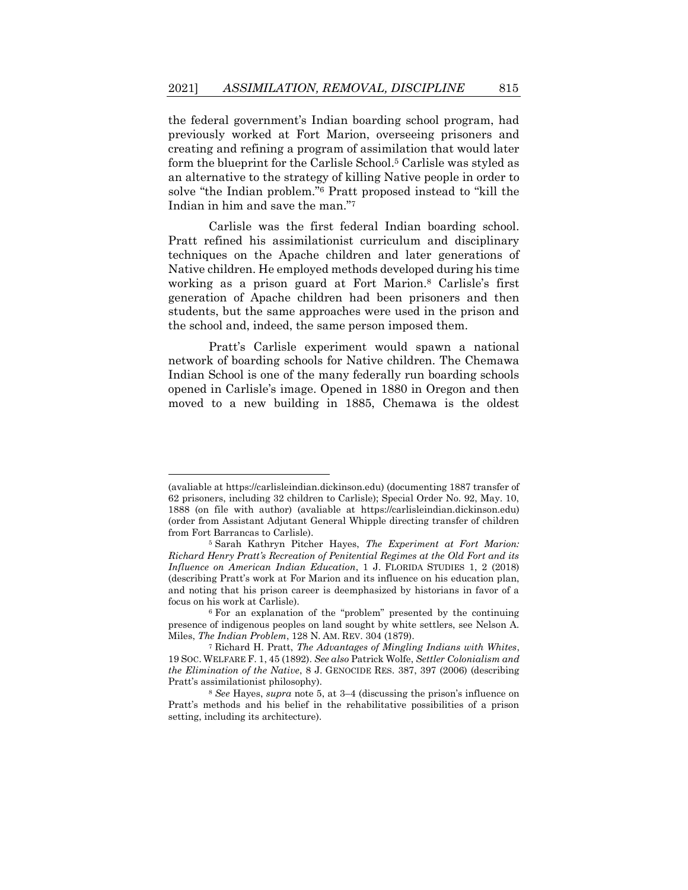<span id="page-5-0"></span>the federal government's Indian boarding school program, had previously worked at Fort Marion, overseeing prisoners and creating and refining a program of assimilation that would later form the blueprint for the Carlisle School.<sup>5</sup> Carlisle was styled as an alternative to the strategy of killing Native people in order to solve "the Indian problem."<sup>6</sup> Pratt proposed instead to "kill the Indian in him and save the man."<sup>7</sup>

<span id="page-5-2"></span><span id="page-5-1"></span>Carlisle was the first federal Indian boarding school. Pratt refined his assimilationist curriculum and disciplinary techniques on the Apache children and later generations of Native children. He employed methods developed during his time working as a prison guard at Fort Marion.<sup>8</sup> Carlisle's first generation of Apache children had been prisoners and then students, but the same approaches were used in the prison and the school and, indeed, the same person imposed them.

Pratt's Carlisle experiment would spawn a national network of boarding schools for Native children. The Chemawa Indian School is one of the many federally run boarding schools opened in Carlisle's image. Opened in 1880 in Oregon and then moved to a new building in 1885, Chemawa is the oldest

<sup>(</sup>avaliable at https://carlisleindian.dickinson.edu) (documenting 1887 transfer of 62 prisoners, including 32 children to Carlisle); Special Order No. 92, May. 10, 1888 (on file with author) (avaliable at https://carlisleindian.dickinson.edu) (order from Assistant Adjutant General Whipple directing transfer of children from Fort Barrancas to Carlisle).

<sup>5</sup> Sarah Kathryn Pitcher Hayes, *The Experiment at Fort Marion: Richard Henry Pratt's Recreation of Penitential Regimes at the Old Fort and its Influence on American Indian Education*, 1 J. FLORIDA STUDIES 1, 2 (2018) (describing Pratt's work at For Marion and its influence on his education plan, and noting that his prison career is deemphasized by historians in favor of a focus on his work at Carlisle).

<sup>6</sup> For an explanation of the "problem" presented by the continuing presence of indigenous peoples on land sought by white settlers, see Nelson A. Miles, *The Indian Problem*, 128 N. AM. REV. 304 (1879).

<sup>7</sup> Richard H. Pratt, *The Advantages of Mingling Indians with Whites*, 19 SOC. WELFARE F. 1, 45 (1892). *See also* Patrick Wolfe, *Settler Colonialism and the Elimination of the Native*, 8 J. GENOCIDE RES. 387, 397 (2006) (describing Pratt's assimilationist philosophy).

<sup>8</sup> *See* Hayes, *supra* not[e 5,](#page-5-0) at 3–4 (discussing the prison's influence on Pratt's methods and his belief in the rehabilitative possibilities of a prison setting, including its architecture).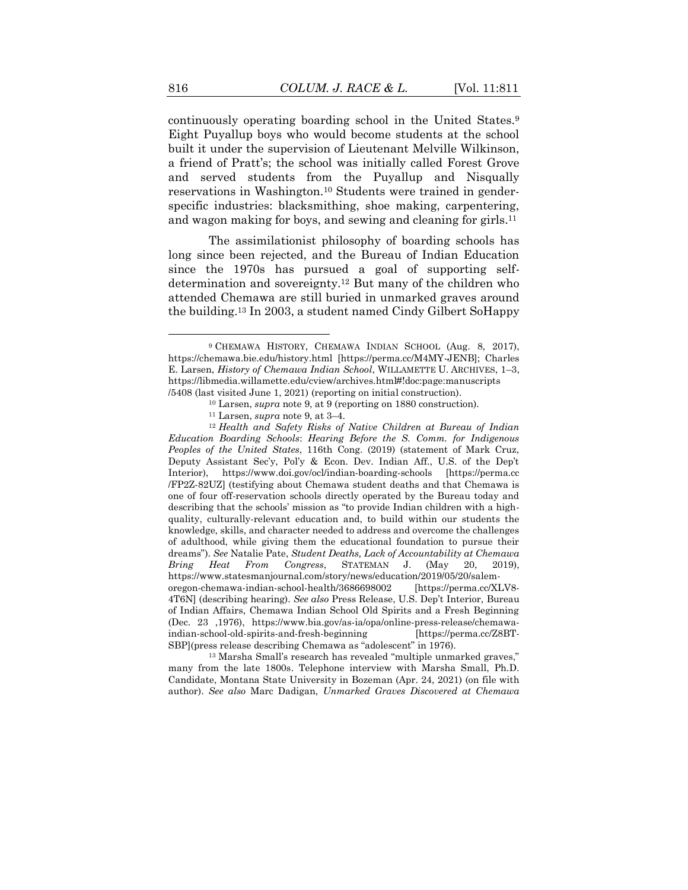<span id="page-6-0"></span>continuously operating boarding school in the United States.<sup>9</sup> Eight Puyallup boys who would become students at the school built it under the supervision of Lieutenant Melville Wilkinson, a friend of Pratt's; the school was initially called Forest Grove and served students from the Puyallup and Nisqually reservations in Washington.<sup>10</sup> Students were trained in genderspecific industries: blacksmithing, shoe making, carpentering, and wagon making for boys, and sewing and cleaning for girls.<sup>11</sup>

The assimilationist philosophy of boarding schools has long since been rejected, and the Bureau of Indian Education since the 1970s has pursued a goal of supporting selfdetermination and sovereignty.<sup>12</sup> But many of the children who attended Chemawa are still buried in unmarked graves around the building.<sup>13</sup> In 2003, a student named Cindy Gilbert SoHappy

<sup>13</sup> Marsha Small's research has revealed "multiple unmarked graves," many from the late 1800s. Telephone interview with Marsha Small, Ph.D. Candidate, Montana State University in Bozeman (Apr. 24, 2021) (on file with author). *See also* Marc Dadigan, *Unmarked Graves Discovered at Chemawa* 

<sup>9</sup> CHEMAWA HISTORY, CHEMAWA INDIAN SCHOOL (Aug. 8, 2017), https://chemawa.bie.edu/history.html [https://perma.cc/M4MY-JENB]; Charles E. Larsen, *History of Chemawa Indian School*, WILLAMETTE U. ARCHIVES, 1–3, https://libmedia.willamette.edu/cview/archives.html#!doc:page:manuscripts /5408 (last visited June 1, 2021) (reporting on initial construction).

<sup>10</sup> Larsen, *supra* not[e 9,](#page-6-0) at 9 (reporting on 1880 construction).

<sup>11</sup> Larsen, *supra* not[e 9,](#page-6-0) at 3–4.

<sup>12</sup> *Health and Safety Risks of Native Children at Bureau of Indian Education Boarding Schools*: *Hearing Before the S. Comm. for Indigenous Peoples of the United States*, 116th Cong. (2019) (statement of Mark Cruz, Deputy Assistant Sec'y, Pol'y & Econ. Dev. Indian Aff., U.S. of the Dep't Interior), https://www.doi.gov/ocl/indian-boarding-schools [https://perma.cc /FP2Z-82UZ] (testifying about Chemawa student deaths and that Chemawa is one of four off-reservation schools directly operated by the Bureau today and describing that the schools' mission as "to provide Indian children with a highquality, culturally-relevant education and, to build within our students the knowledge, skills, and character needed to address and overcome the challenges of adulthood, while giving them the educational foundation to pursue their dreams"). *See* Natalie Pate, *Student Deaths, Lack of Accountability at Chemawa Bring Heat From Congress*, STATEMAN J. (May 20, 2019), https://www.statesmanjournal.com/story/news/education/2019/05/20/salemoregon-chemawa-indian-school-health/3686698002 [https://perma.cc/XLV8- 4T6N] (describing hearing). *See also* Press Release, U.S. Dep't Interior, Bureau of Indian Affairs, Chemawa Indian School Old Spirits and a Fresh Beginning (Dec. 23 ,1976), https://www.bia.gov/as-ia/opa/online-press-release/chemawaindian-school-old-spirits-and-fresh-beginning [https://perma.cc/Z8BT-SBP](press release describing Chemawa as "adolescent" in 1976).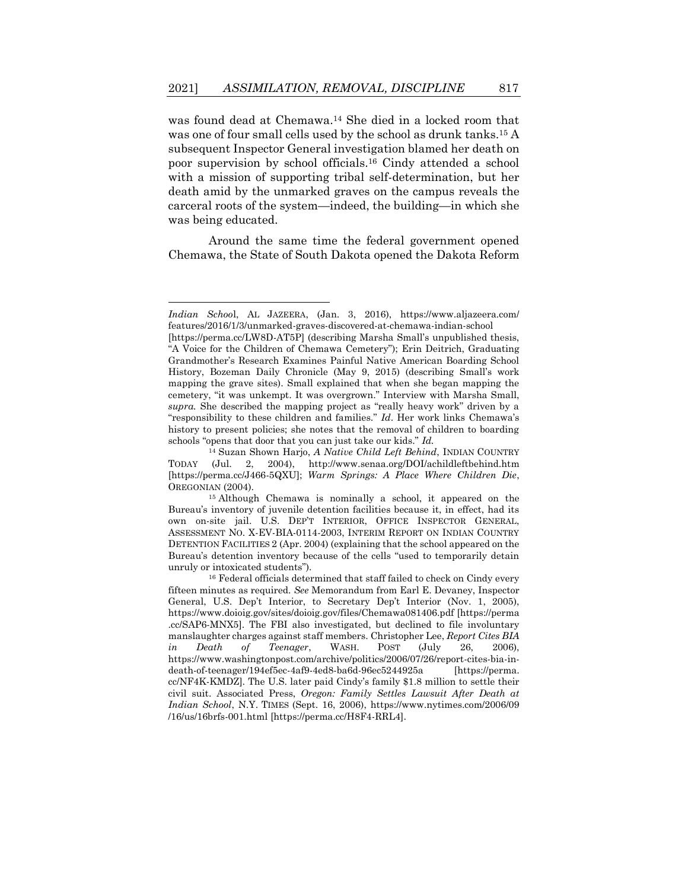<span id="page-7-0"></span>was found dead at Chemawa.<sup>14</sup> She died in a locked room that was one of four small cells used by the school as drunk tanks.<sup>15</sup> A subsequent Inspector General investigation blamed her death on poor supervision by school officials.<sup>16</sup> Cindy attended a school with a mission of supporting tribal self-determination, but her death amid by the unmarked graves on the campus reveals the carceral roots of the system—indeed, the building—in which she was being educated.

Around the same time the federal government opened Chemawa, the State of South Dakota opened the Dakota Reform

*Indian Schoo*l, AL JAZEERA, (Jan. 3, 2016), https://www.aljazeera.com/ features/2016/1/3/unmarked-graves-discovered-at-chemawa-indian-school

<sup>[</sup>https://perma.cc/LW8D-AT5P] (describing Marsha Small's unpublished thesis, "A Voice for the Children of Chemawa Cemetery"); Erin Deitrich, Graduating Grandmother's Research Examines Painful Native American Boarding School History, Bozeman Daily Chronicle (May 9, 2015) (describing Small's work mapping the grave sites). Small explained that when she began mapping the cemetery, "it was unkempt. It was overgrown." Interview with Marsha Small, *supra.* She described the mapping project as "really heavy work" driven by a "responsibility to these children and families." *Id*. Her work links Chemawa's history to present policies; she notes that the removal of children to boarding schools "opens that door that you can just take our kids." *Id.*

<sup>14</sup> Suzan Shown Harjo, *A Native Child Left Behind*, INDIAN COUNTRY TODAY (Jul. 2, 2004), http://www.senaa.org/DOI/achildleftbehind.htm [https://perma.cc/J466-5QXU]; *Warm Springs: A Place Where Children Die*, OREGONIAN (2004).

<sup>15</sup> Although Chemawa is nominally a school, it appeared on the Bureau's inventory of juvenile detention facilities because it, in effect, had its own on-site jail. U.S. DEP'T INTERIOR, OFFICE INSPECTOR GENERAL, ASSESSMENT NO. X-EV-BIA-0114-2003, INTERIM REPORT ON INDIAN COUNTRY DETENTION FACILITIES 2 (Apr. 2004) (explaining that the school appeared on the Bureau's detention inventory because of the cells "used to temporarily detain unruly or intoxicated students").

<sup>16</sup> Federal officials determined that staff failed to check on Cindy every fifteen minutes as required. *See* Memorandum from Earl E. Devaney, Inspector General, U.S. Dep't Interior, to Secretary Dep't Interior (Nov. 1, 2005), https://www.doioig.gov/sites/doioig.gov/files/Chemawa081406.pdf [https://perma .cc/SAP6-MNX5]. The FBI also investigated, but declined to file involuntary manslaughter charges against staff members. Christopher Lee, *Report Cites BIA in Death of Teenager*, WASH. POST (July 26, 2006), https://www.washingtonpost.com/archive/politics/2006/07/26/report-cites-bia-indeath-of-teenager/194ef5ec-4af9-4ed8-ba6d-96ec5244925a [https://perma. cc/NF4K-KMDZ]. The U.S. later paid Cindy's family \$1.8 million to settle their civil suit. Associated Press, *Oregon: Family Settles Lawsuit After Death at Indian School*, N.Y. TIMES (Sept. 16, 2006), https://www.nytimes.com/2006/09 /16/us/16brfs-001.html [https://perma.cc/H8F4-RRL4].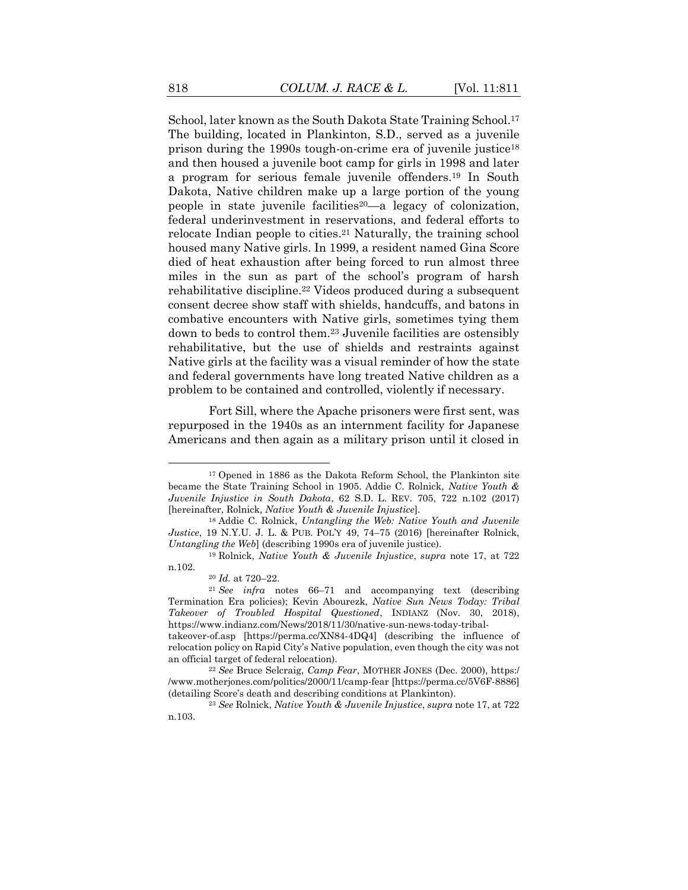<span id="page-8-1"></span><span id="page-8-0"></span>School, later known as the South Dakota State Training School. 17 The building, located in Plankinton, S.D., served as a juvenile prison during the 1990s tough-on-crime era of juvenile justice<sup>18</sup> and then housed a juvenile boot camp for girls in 1998 and later a program for serious female juvenile offenders.<sup>19</sup> In South Dakota, Native children make up a large portion of the young people in state juvenile facilities<sup>20</sup>—a legacy of colonization, federal underinvestment in reservations, and federal efforts to relocate Indian people to cities. <sup>21</sup> Naturally, the training school housed many Native girls. In 1999, a resident named Gina Score died of heat exhaustion after being forced to run almost three miles in the sun as part of the school's program of harsh rehabilitative discipline.<sup>22</sup> Videos produced during a subsequent consent decree show staff with shields, handcuffs, and batons in combative encounters with Native girls, sometimes tying them down to beds to control them.<sup>23</sup> Juvenile facilities are ostensibly rehabilitative, but the use of shields and restraints against Native girls at the facility was a visual reminder of how the state and federal governments have long treated Native children as a problem to be contained and controlled, violently if necessary.

Fort Sill, where the Apache prisoners were first sent, was repurposed in the 1940s as an internment facility for Japanese Americans and then again as a military prison until it closed in

<sup>17</sup> Opened in 1886 as the Dakota Reform School, the Plankinton site became the State Training School in 1905. Addie C. Rolnick, *Native Youth & Juvenile Injustice in South Dakota*, 62 S.D. L. REV. 705, 722 n.102 (2017) [hereinafter, Rolnick, *Native Youth & Juvenile Injustice*].

<sup>18</sup> Addie C. Rolnick, *Untangling the Web: Native Youth and Juvenile Justice*, 19 N.Y.U. J. L. & PUB. POL'Y 49, 74–75 (2016) [hereinafter Rolnick, *Untangling the Web*] (describing 1990s era of juvenile justice).

<sup>19</sup> Rolnick, *Native Youth & Juvenile Injustice*, *supra* note [17,](#page-8-0) at 722 n.102.

<sup>20</sup> *Id.* at 720–22.

<sup>21</sup> *See infra* notes [66](#page-21-0)–[71](#page-22-0) and accompanying text (describing Termination Era policies); Kevin Abourezk, *Native Sun News Today: Tribal Takeover of Troubled Hospital Questioned*, INDIANZ (Nov. 30, 2018), https://www.indianz.com/News/2018/11/30/native-sun-news-today-tribal-

takeover-of.asp [https://perma.cc/XN84-4DQ4] (describing the influence of relocation policy on Rapid City's Native population, even though the city was not an official target of federal relocation).

<sup>22</sup> *See* Bruce Selcraig, *Camp Fear*, MOTHER JONES (Dec. 2000), https:/ /www.motherjones.com/politics/2000/11/camp-fear [https://perma.cc/5V6F-8886] (detailing Score's death and describing conditions at Plankinton).

<sup>23</sup> *See* Rolnick, *Native Youth & Juvenile Injustice*, *supra* note [17,](#page-8-0) at 722 n.103.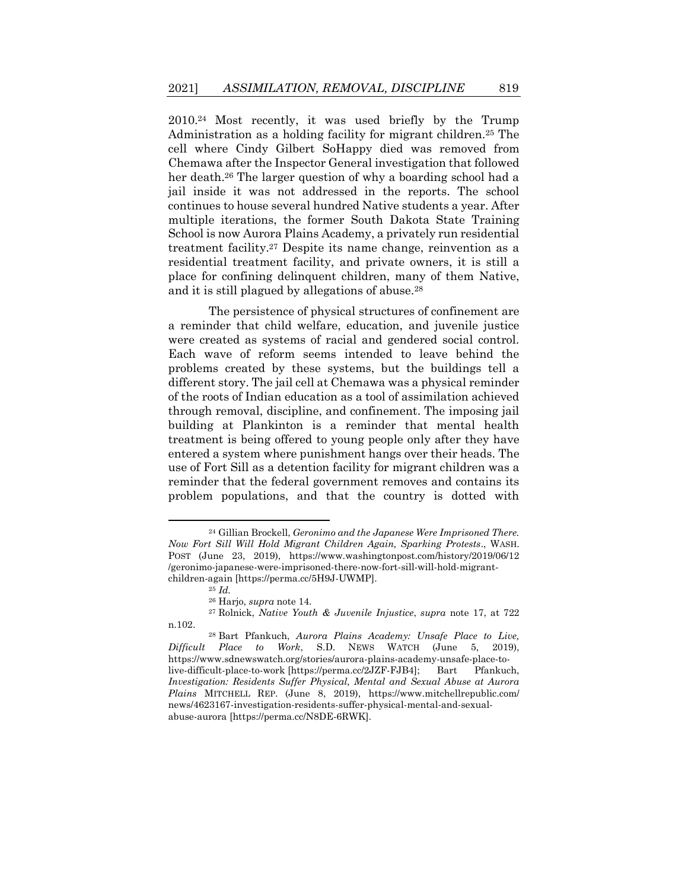2010.<sup>24</sup> Most recently, it was used briefly by the Trump Administration as a holding facility for migrant children.<sup>25</sup> The cell where Cindy Gilbert SoHappy died was removed from Chemawa after the Inspector General investigation that followed her death.<sup>26</sup> The larger question of why a boarding school had a jail inside it was not addressed in the reports. The school continues to house several hundred Native students a year. After multiple iterations, the former South Dakota State Training School is now Aurora Plains Academy, a privately run residential treatment facility.<sup>27</sup> Despite its name change, reinvention as a residential treatment facility, and private owners, it is still a place for confining delinquent children, many of them Native, and it is still plagued by allegations of abuse.<sup>28</sup>

The persistence of physical structures of confinement are a reminder that child welfare, education, and juvenile justice were created as systems of racial and gendered social control. Each wave of reform seems intended to leave behind the problems created by these systems, but the buildings tell a different story. The jail cell at Chemawa was a physical reminder of the roots of Indian education as a tool of assimilation achieved through removal, discipline, and confinement. The imposing jail building at Plankinton is a reminder that mental health treatment is being offered to young people only after they have entered a system where punishment hangs over their heads. The use of Fort Sill as a detention facility for migrant children was a reminder that the federal government removes and contains its problem populations, and that the country is dotted with

<sup>24</sup> Gillian Brockell, *Geronimo and the Japanese Were Imprisoned There. Now Fort Sill Will Hold Migrant Children Again, Sparking Protests*., WASH. POST (June 23, 2019), https://www.washingtonpost.com/history/2019/06/12 /geronimo-japanese-were-imprisoned-there-now-fort-sill-will-hold-migrantchildren-again [https://perma.cc/5H9J-UWMP].

<sup>25</sup> *Id.*

<sup>26</sup> Harjo, *supra* not[e 14.](#page-7-0)

<sup>27</sup> Rolnick, *Native Youth & Juvenile Injustice*, *supra* note [17,](#page-8-0) at 722 n.102.

<sup>28</sup> Bart Pfankuch, *Aurora Plains Academy: Unsafe Place to Live, Difficult Place to Work*, S.D. NEWS WATCH (June 5, 2019), https://www.sdnewswatch.org/stories/aurora-plains-academy-unsafe-place-tolive-difficult-place-to-work [https://perma.cc/2JZF-FJB4]; Bart Pfankuch, *Investigation: Residents Suffer Physical, Mental and Sexual Abuse at Aurora Plains* MITCHELL REP. (June 8, 2019), https://www.mitchellrepublic.com/ news/4623167-investigation-residents-suffer-physical-mental-and-sexualabuse-aurora [https://perma.cc/N8DE-6RWK].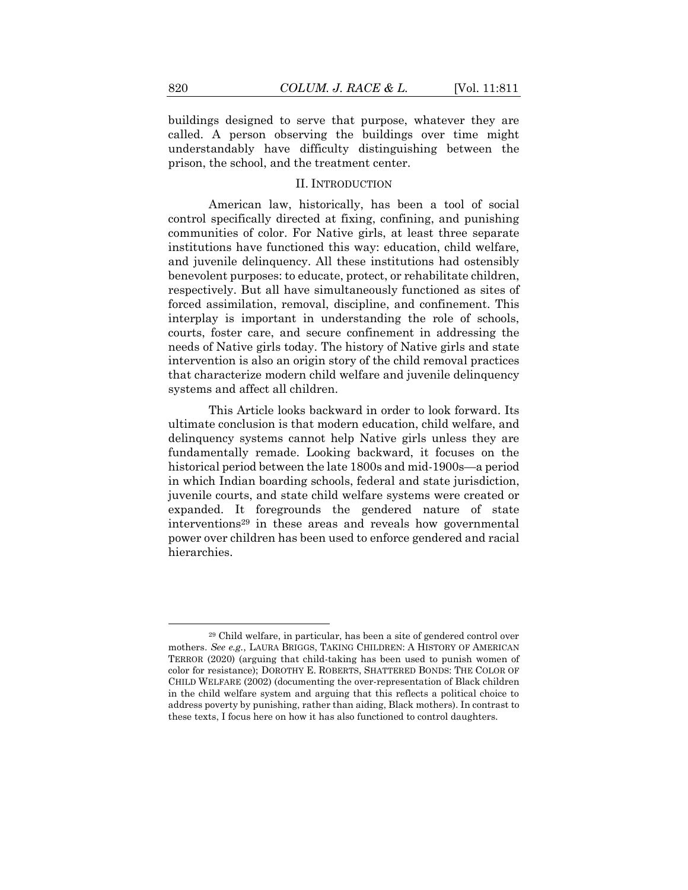buildings designed to serve that purpose, whatever they are called. A person observing the buildings over time might understandably have difficulty distinguishing between the prison, the school, and the treatment center.

#### II. INTRODUCTION

American law, historically, has been a tool of social control specifically directed at fixing, confining, and punishing communities of color. For Native girls, at least three separate institutions have functioned this way: education, child welfare, and juvenile delinquency. All these institutions had ostensibly benevolent purposes: to educate, protect, or rehabilitate children, respectively. But all have simultaneously functioned as sites of forced assimilation, removal, discipline, and confinement. This interplay is important in understanding the role of schools, courts, foster care, and secure confinement in addressing the needs of Native girls today. The history of Native girls and state intervention is also an origin story of the child removal practices that characterize modern child welfare and juvenile delinquency systems and affect all children.

This Article looks backward in order to look forward. Its ultimate conclusion is that modern education, child welfare, and delinquency systems cannot help Native girls unless they are fundamentally remade. Looking backward, it focuses on the historical period between the late 1800s and mid-1900s—a period in which Indian boarding schools, federal and state jurisdiction, juvenile courts, and state child welfare systems were created or expanded. It foregrounds the gendered nature of state interventions<sup>29</sup> in these areas and reveals how governmental power over children has been used to enforce gendered and racial hierarchies.

<sup>29</sup> Child welfare, in particular, has been a site of gendered control over mothers. *See e.g.*, LAURA BRIGGS, TAKING CHILDREN: A HISTORY OF AMERICAN TERROR (2020) (arguing that child-taking has been used to punish women of color for resistance); DOROTHY E. ROBERTS, SHATTERED BONDS: THE COLOR OF CHILD WELFARE (2002) (documenting the over-representation of Black children in the child welfare system and arguing that this reflects a political choice to address poverty by punishing, rather than aiding, Black mothers). In contrast to these texts, I focus here on how it has also functioned to control daughters.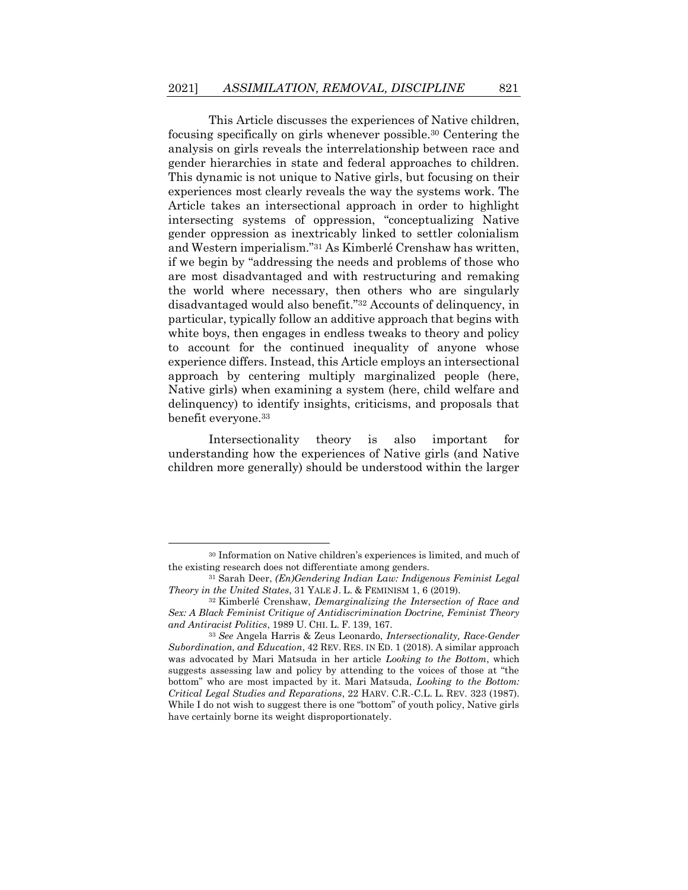This Article discusses the experiences of Native children, focusing specifically on girls whenever possible.<sup>30</sup> Centering the analysis on girls reveals the interrelationship between race and gender hierarchies in state and federal approaches to children. This dynamic is not unique to Native girls, but focusing on their experiences most clearly reveals the way the systems work. The Article takes an intersectional approach in order to highlight intersecting systems of oppression, "conceptualizing Native gender oppression as inextricably linked to settler colonialism and Western imperialism."<sup>31</sup> As Kimberlé Crenshaw has written, if we begin by "addressing the needs and problems of those who are most disadvantaged and with restructuring and remaking the world where necessary, then others who are singularly disadvantaged would also benefit."<sup>32</sup> Accounts of delinquency, in particular, typically follow an additive approach that begins with white boys, then engages in endless tweaks to theory and policy to account for the continued inequality of anyone whose experience differs. Instead, this Article employs an intersectional approach by centering multiply marginalized people (here, Native girls) when examining a system (here, child welfare and delinquency) to identify insights, criticisms, and proposals that benefit everyone.<sup>33</sup>

Intersectionality theory is also important for understanding how the experiences of Native girls (and Native children more generally) should be understood within the larger

<sup>30</sup> Information on Native children's experiences is limited, and much of the existing research does not differentiate among genders.

<sup>31</sup> Sarah Deer, *(En)Gendering Indian Law: Indigenous Feminist Legal Theory in the United States*, 31 YALE J. L. & FEMINISM 1, 6 (2019).

<sup>32</sup> Kimberlé Crenshaw, *Demarginalizing the Intersection of Race and Sex: A Black Feminist Critique of Antidiscrimination Doctrine, Feminist Theory and Antiracist Politics*, 1989 U. CHI. L. F. 139, 167.

<sup>33</sup> *See* Angela Harris & Zeus Leonardo, *Intersectionality, Race-Gender Subordination, and Education*, 42 REV. RES. IN ED. 1 (2018). A similar approach was advocated by Mari Matsuda in her article *Looking to the Bottom*, which suggests assessing law and policy by attending to the voices of those at "the bottom" who are most impacted by it. Mari Matsuda, *Looking to the Bottom: Critical Legal Studies and Reparations*, 22 HARV. C.R.-C.L. L. REV. 323 (1987). While I do not wish to suggest there is one "bottom" of youth policy, Native girls have certainly borne its weight disproportionately.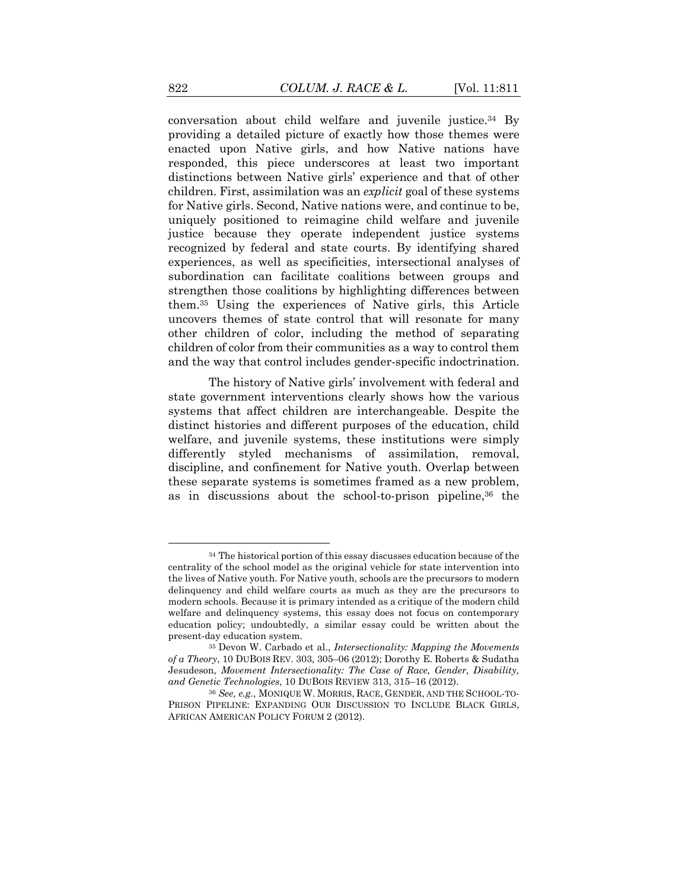conversation about child welfare and juvenile justice.<sup>34</sup> By providing a detailed picture of exactly how those themes were enacted upon Native girls, and how Native nations have responded, this piece underscores at least two important distinctions between Native girls' experience and that of other children. First, assimilation was an *explicit* goal of these systems for Native girls. Second, Native nations were, and continue to be, uniquely positioned to reimagine child welfare and juvenile justice because they operate independent justice systems recognized by federal and state courts. By identifying shared experiences, as well as specificities, intersectional analyses of subordination can facilitate coalitions between groups and strengthen those coalitions by highlighting differences between them.<sup>35</sup> Using the experiences of Native girls, this Article uncovers themes of state control that will resonate for many other children of color, including the method of separating children of color from their communities as a way to control them and the way that control includes gender-specific indoctrination.

The history of Native girls' involvement with federal and state government interventions clearly shows how the various systems that affect children are interchangeable. Despite the distinct histories and different purposes of the education, child welfare, and juvenile systems, these institutions were simply differently styled mechanisms of assimilation, removal, discipline, and confinement for Native youth. Overlap between these separate systems is sometimes framed as a new problem, as in discussions about the school-to-prison pipeline,<sup>36</sup> the

<sup>&</sup>lt;sup>34</sup> The historical portion of this essay discusses education because of the centrality of the school model as the original vehicle for state intervention into the lives of Native youth. For Native youth, schools are the precursors to modern delinquency and child welfare courts as much as they are the precursors to modern schools. Because it is primary intended as a critique of the modern child welfare and delinquency systems, this essay does not focus on contemporary education policy; undoubtedly, a similar essay could be written about the present-day education system.

<sup>35</sup> Devon W. Carbado et al., *Intersectionality: Mapping the Movements of a Theory*, 10 DUBOIS REV. 303, 305–06 (2012); Dorothy E. Roberts & Sudatha Jesudeson, *Movement Intersectionality: The Case of Race, Gender, Disability, and Genetic Technologies*, 10 DUBOIS REVIEW 313, 315–16 (2012).

<sup>36</sup> *See, e.g.*, MONIQUE W. MORRIS, RACE, GENDER, AND THE SCHOOL-TO-PRISON PIPELINE: EXPANDING OUR DISCUSSION TO INCLUDE BLACK GIRLS, AFRICAN AMERICAN POLICY FORUM 2 (2012).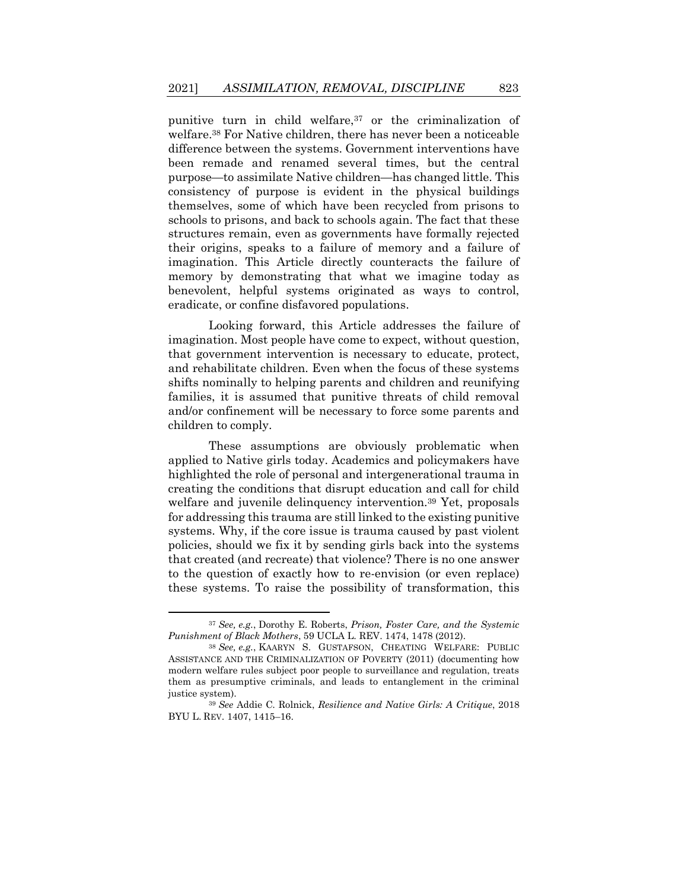punitive turn in child welfare,<sup>37</sup> or the criminalization of welfare.<sup>38</sup> For Native children, there has never been a noticeable difference between the systems. Government interventions have been remade and renamed several times, but the central purpose—to assimilate Native children—has changed little. This consistency of purpose is evident in the physical buildings themselves, some of which have been recycled from prisons to schools to prisons, and back to schools again. The fact that these structures remain, even as governments have formally rejected their origins, speaks to a failure of memory and a failure of imagination. This Article directly counteracts the failure of memory by demonstrating that what we imagine today as benevolent, helpful systems originated as ways to control, eradicate, or confine disfavored populations.

Looking forward, this Article addresses the failure of imagination. Most people have come to expect, without question, that government intervention is necessary to educate, protect, and rehabilitate children. Even when the focus of these systems shifts nominally to helping parents and children and reunifying families, it is assumed that punitive threats of child removal and/or confinement will be necessary to force some parents and children to comply.

These assumptions are obviously problematic when applied to Native girls today. Academics and policymakers have highlighted the role of personal and intergenerational trauma in creating the conditions that disrupt education and call for child welfare and juvenile delinquency intervention.<sup>39</sup> Yet, proposals for addressing this trauma are still linked to the existing punitive systems. Why, if the core issue is trauma caused by past violent policies, should we fix it by sending girls back into the systems that created (and recreate) that violence? There is no one answer to the question of exactly how to re-envision (or even replace) these systems. To raise the possibility of transformation, this

<sup>37</sup> *See, e.g.*, Dorothy E. Roberts, *Prison, Foster Care, and the Systemic Punishment of Black Mothers*, 59 UCLA L. REV. 1474, 1478 (2012).

<sup>38</sup> *See, e.g.*, KAARYN S. GUSTAFSON, CHEATING WELFARE: PUBLIC ASSISTANCE AND THE CRIMINALIZATION OF POVERTY (2011) (documenting how modern welfare rules subject poor people to surveillance and regulation, treats them as presumptive criminals, and leads to entanglement in the criminal justice system).

<sup>39</sup> *See* Addie C. Rolnick, *Resilience and Native Girls: A Critique*, 2018 BYU L. REV. 1407, 1415–16.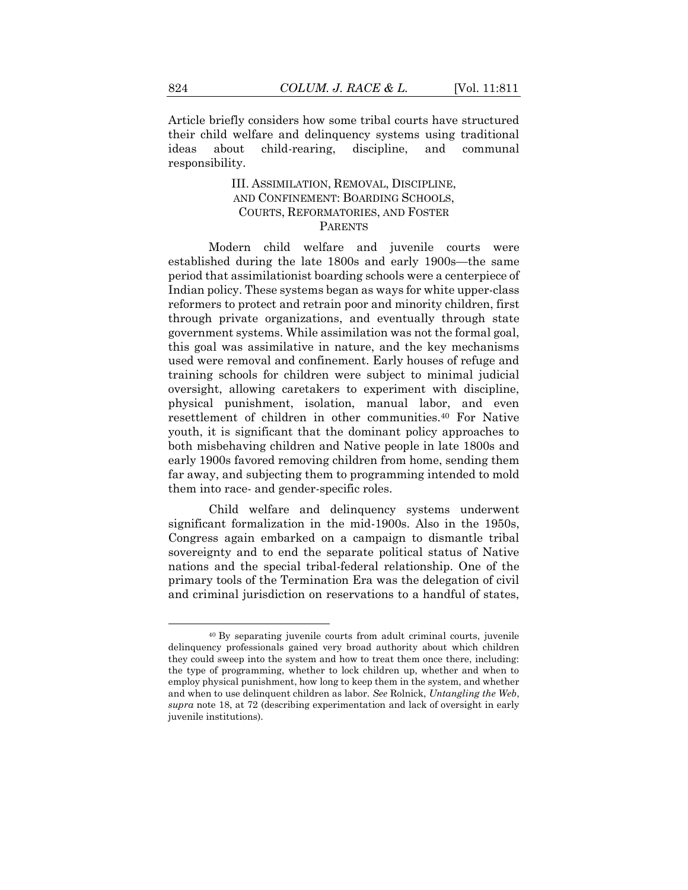Article briefly considers how some tribal courts have structured their child welfare and delinquency systems using traditional ideas about child-rearing, discipline, and communal responsibility.

#### III. ASSIMILATION, REMOVAL, DISCIPLINE, AND CONFINEMENT: BOARDING SCHOOLS, COURTS, REFORMATORIES, AND FOSTER PARENTS

Modern child welfare and juvenile courts were established during the late 1800s and early 1900s—the same period that assimilationist boarding schools were a centerpiece of Indian policy. These systems began as ways for white upper-class reformers to protect and retrain poor and minority children, first through private organizations, and eventually through state government systems. While assimilation was not the formal goal, this goal was assimilative in nature, and the key mechanisms used were removal and confinement. Early houses of refuge and training schools for children were subject to minimal judicial oversight, allowing caretakers to experiment with discipline, physical punishment, isolation, manual labor, and even resettlement of children in other communities.<sup>40</sup> For Native youth, it is significant that the dominant policy approaches to both misbehaving children and Native people in late 1800s and early 1900s favored removing children from home, sending them far away, and subjecting them to programming intended to mold them into race- and gender-specific roles.

Child welfare and delinquency systems underwent significant formalization in the mid-1900s. Also in the 1950s, Congress again embarked on a campaign to dismantle tribal sovereignty and to end the separate political status of Native nations and the special tribal-federal relationship. One of the primary tools of the Termination Era was the delegation of civil and criminal jurisdiction on reservations to a handful of states,

<sup>40</sup> By separating juvenile courts from adult criminal courts, juvenile delinquency professionals gained very broad authority about which children they could sweep into the system and how to treat them once there, including: the type of programming, whether to lock children up, whether and when to employ physical punishment, how long to keep them in the system, and whether and when to use delinquent children as labor. *See* Rolnick, *Untangling the Web*, *supra* note [18,](#page-8-1) at 72 (describing experimentation and lack of oversight in early juvenile institutions).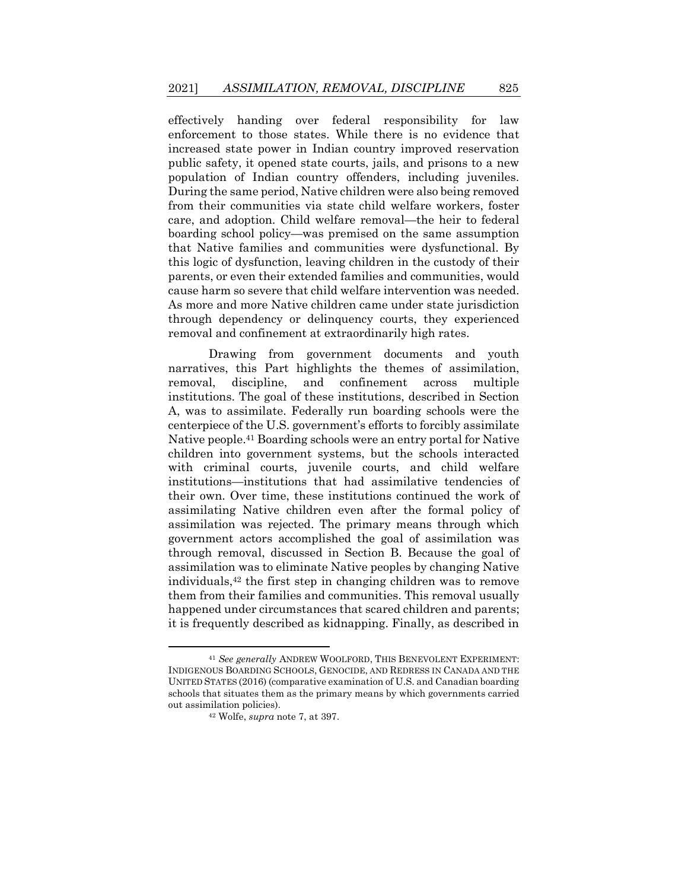effectively handing over federal responsibility for law enforcement to those states. While there is no evidence that increased state power in Indian country improved reservation public safety, it opened state courts, jails, and prisons to a new population of Indian country offenders, including juveniles. During the same period, Native children were also being removed from their communities via state child welfare workers, foster care, and adoption. Child welfare removal—the heir to federal boarding school policy—was premised on the same assumption that Native families and communities were dysfunctional. By this logic of dysfunction, leaving children in the custody of their parents, or even their extended families and communities, would cause harm so severe that child welfare intervention was needed. As more and more Native children came under state jurisdiction through dependency or delinquency courts, they experienced removal and confinement at extraordinarily high rates.

Drawing from government documents and youth narratives, this Part highlights the themes of assimilation, removal, discipline, and confinement across multiple institutions. The goal of these institutions, described in Section A, was to assimilate. Federally run boarding schools were the centerpiece of the U.S. government's efforts to forcibly assimilate Native people.<sup>41</sup> Boarding schools were an entry portal for Native children into government systems, but the schools interacted with criminal courts, juvenile courts, and child welfare institutions—institutions that had assimilative tendencies of their own. Over time, these institutions continued the work of assimilating Native children even after the formal policy of assimilation was rejected. The primary means through which government actors accomplished the goal of assimilation was through removal, discussed in Section B. Because the goal of assimilation was to eliminate Native peoples by changing Native individuals,<sup>42</sup> the first step in changing children was to remove them from their families and communities. This removal usually happened under circumstances that scared children and parents; it is frequently described as kidnapping. Finally, as described in

<sup>41</sup> *See generally* ANDREW WOOLFORD, THIS BENEVOLENT EXPERIMENT: INDIGENOUS BOARDING SCHOOLS, GENOCIDE, AND REDRESS IN CANADA AND THE UNITED STATES (2016) (comparative examination of U.S. and Canadian boarding schools that situates them as the primary means by which governments carried out assimilation policies).

<sup>42</sup> Wolfe, *supra* not[e 7,](#page-5-1) at 397.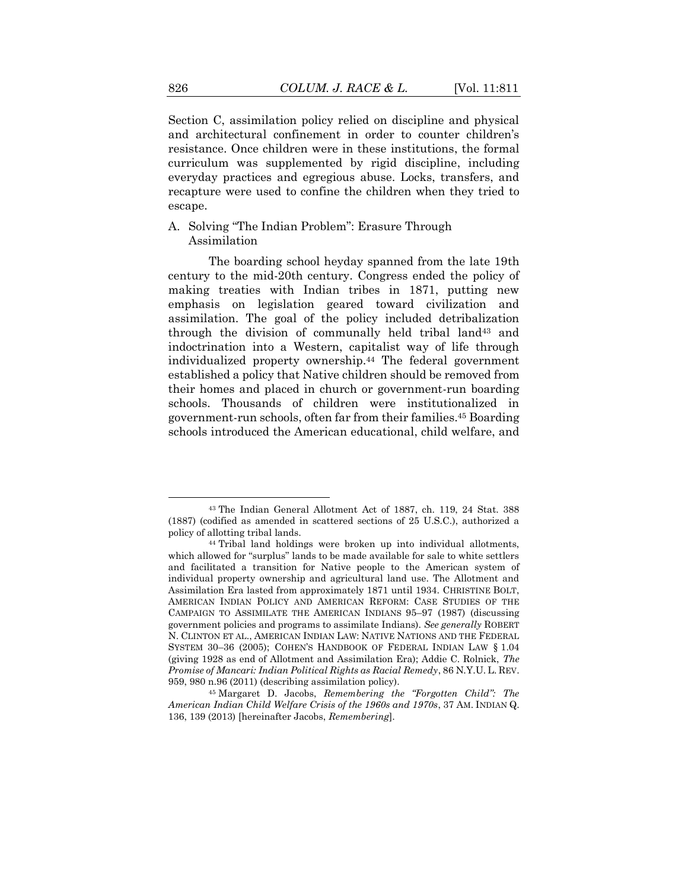Section C, assimilation policy relied on discipline and physical and architectural confinement in order to counter children's resistance. Once children were in these institutions, the formal curriculum was supplemented by rigid discipline, including everyday practices and egregious abuse. Locks, transfers, and recapture were used to confine the children when they tried to escape.

A. Solving "The Indian Problem": Erasure Through Assimilation

<span id="page-16-0"></span>The boarding school heyday spanned from the late 19th century to the mid-20th century. Congress ended the policy of making treaties with Indian tribes in 1871, putting new emphasis on legislation geared toward civilization and assimilation. The goal of the policy included detribalization through the division of communally held tribal land<sup>43</sup> and indoctrination into a Western, capitalist way of life through individualized property ownership.<sup>44</sup> The federal government established a policy that Native children should be removed from their homes and placed in church or government-run boarding schools. Thousands of children were institutionalized in government-run schools, often far from their families.<sup>45</sup> Boarding schools introduced the American educational, child welfare, and

<span id="page-16-1"></span><sup>43</sup> The Indian General Allotment Act of 1887, ch. 119, 24 Stat. 388 (1887) (codified as amended in scattered sections of 25 U.S.C.), authorized a policy of allotting tribal lands.

<sup>44</sup> Tribal land holdings were broken up into individual allotments, which allowed for "surplus" lands to be made available for sale to white settlers and facilitated a transition for Native people to the American system of individual property ownership and agricultural land use. The Allotment and Assimilation Era lasted from approximately 1871 until 1934. CHRISTINE BOLT, AMERICAN INDIAN POLICY AND AMERICAN REFORM: CASE STUDIES OF THE CAMPAIGN TO ASSIMILATE THE AMERICAN INDIANS 95–97 (1987) (discussing government policies and programs to assimilate Indians). *See generally* ROBERT N. CLINTON ET AL., AMERICAN INDIAN LAW: NATIVE NATIONS AND THE FEDERAL SYSTEM 30–36 (2005); COHEN'S HANDBOOK OF FEDERAL INDIAN LAW § 1.04 (giving 1928 as end of Allotment and Assimilation Era); Addie C. Rolnick, *The Promise of Mancari: Indian Political Rights as Racial Remedy*, 86 N.Y.U. L. REV. 959, 980 n.96 (2011) (describing assimilation policy).

<sup>45</sup> Margaret D. Jacobs, *Remembering the "Forgotten Child": The American Indian Child Welfare Crisis of the 1960s and 1970s*, 37 AM. INDIAN Q. 136, 139 (2013) [hereinafter Jacobs, *Remembering*].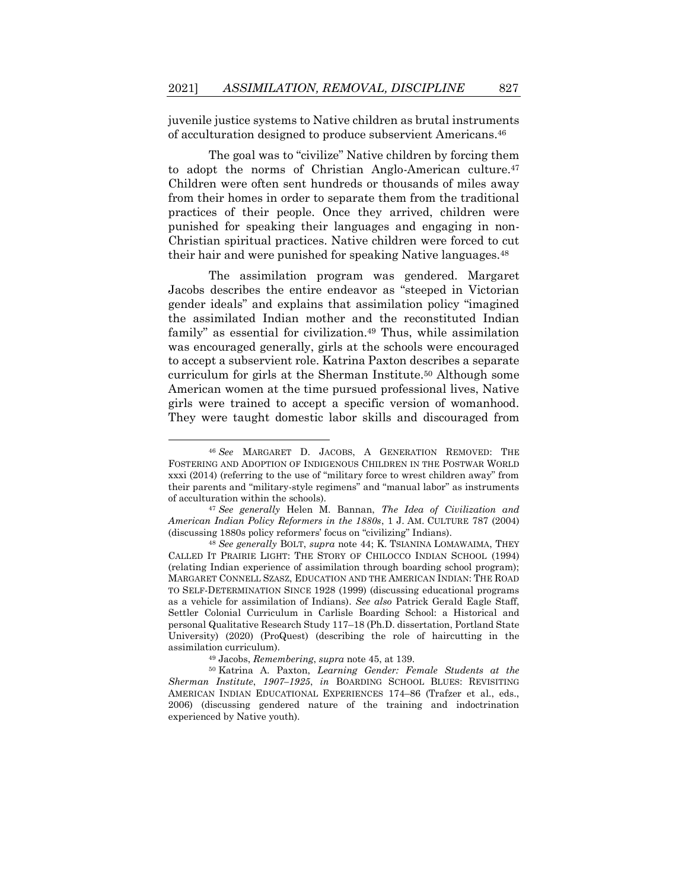juvenile justice systems to Native children as brutal instruments of acculturation designed to produce subservient Americans.<sup>46</sup>

The goal was to "civilize" Native children by forcing them to adopt the norms of Christian Anglo-American culture.<sup>47</sup> Children were often sent hundreds or thousands of miles away from their homes in order to separate them from the traditional practices of their people. Once they arrived, children were punished for speaking their languages and engaging in non-Christian spiritual practices. Native children were forced to cut their hair and were punished for speaking Native languages.<sup>48</sup>

<span id="page-17-1"></span>The assimilation program was gendered. Margaret Jacobs describes the entire endeavor as "steeped in Victorian gender ideals" and explains that assimilation policy "imagined the assimilated Indian mother and the reconstituted Indian family" as essential for civilization.<sup>49</sup> Thus, while assimilation was encouraged generally, girls at the schools were encouraged to accept a subservient role. Katrina Paxton describes a separate curriculum for girls at the Sherman Institute.<sup>50</sup> Although some American women at the time pursued professional lives, Native girls were trained to accept a specific version of womanhood. They were taught domestic labor skills and discouraged from

<sup>49</sup> Jacobs, *Remembering*, *supra* note [45,](#page-16-1) at 139.

<span id="page-17-0"></span><sup>46</sup> *See* MARGARET D. JACOBS, A GENERATION REMOVED: THE FOSTERING AND ADOPTION OF INDIGENOUS CHILDREN IN THE POSTWAR WORLD xxxi (2014) (referring to the use of "military force to wrest children away" from their parents and "military-style regimens" and "manual labor" as instruments of acculturation within the schools).

<sup>47</sup> *See generally* Helen M. Bannan, *The Idea of Civilization and American Indian Policy Reformers in the 1880s*, 1 J. AM. CULTURE 787 (2004) (discussing 1880s policy reformers' focus on "civilizing" Indians).

<sup>48</sup> *See generally* BOLT, *supra* note [44;](#page-16-0) K. TSIANINA LOMAWAIMA, THEY CALLED IT PRAIRIE LIGHT: THE STORY OF CHILOCCO INDIAN SCHOOL (1994) (relating Indian experience of assimilation through boarding school program); MARGARET CONNELL SZASZ, EDUCATION AND THE AMERICAN INDIAN: THE ROAD TO SELF-DETERMINATION SINCE 1928 (1999) (discussing educational programs as a vehicle for assimilation of Indians). *See also* Patrick Gerald Eagle Staff, Settler Colonial Curriculum in Carlisle Boarding School: a Historical and personal Qualitative Research Study 117–18 (Ph.D. dissertation, Portland State University) (2020) (ProQuest) (describing the role of haircutting in the assimilation curriculum).

<sup>50</sup> Katrina A. Paxton, *Learning Gender: Female Students at the Sherman Institute*, *1907–1925*, *in* BOARDING SCHOOL BLUES: REVISITING AMERICAN INDIAN EDUCATIONAL EXPERIENCES 174–86 (Trafzer et al., eds., 2006) (discussing gendered nature of the training and indoctrination experienced by Native youth).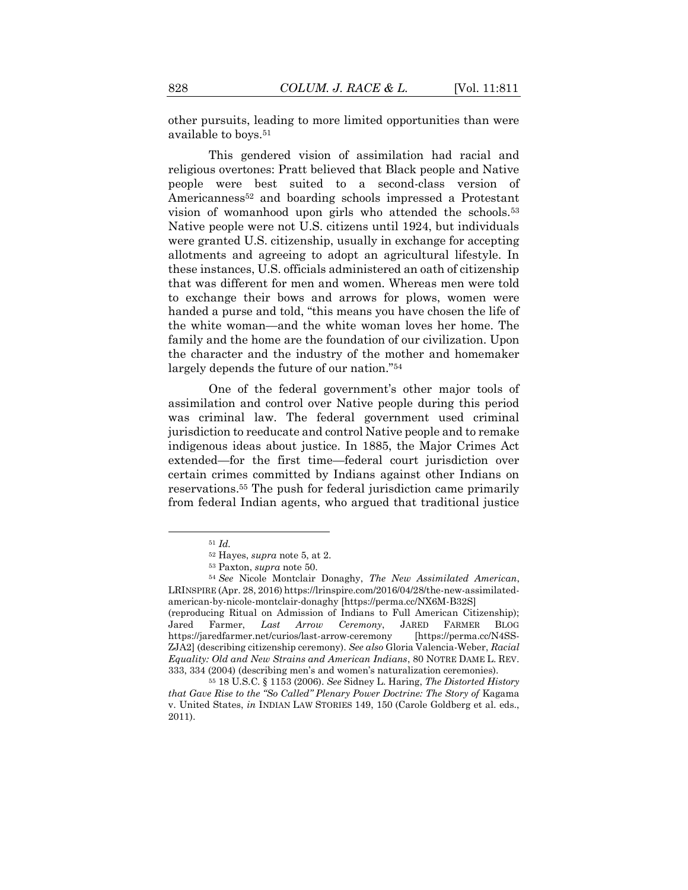other pursuits, leading to more limited opportunities than were available to boys.<sup>51</sup>

This gendered vision of assimilation had racial and religious overtones: Pratt believed that Black people and Native people were best suited to a second-class version of Americanness<sup>52</sup> and boarding schools impressed a Protestant vision of womanhood upon girls who attended the schools.<sup>53</sup> Native people were not U.S. citizens until 1924, but individuals were granted U.S. citizenship, usually in exchange for accepting allotments and agreeing to adopt an agricultural lifestyle. In these instances, U.S. officials administered an oath of citizenship that was different for men and women. Whereas men were told to exchange their bows and arrows for plows, women were handed a purse and told, "this means you have chosen the life of the white woman—and the white woman loves her home. The family and the home are the foundation of our civilization. Upon the character and the industry of the mother and homemaker largely depends the future of our nation."<sup>54</sup>

One of the federal government's other major tools of assimilation and control over Native people during this period was criminal law. The federal government used criminal jurisdiction to reeducate and control Native people and to remake indigenous ideas about justice. In 1885, the Major Crimes Act extended—for the first time—federal court jurisdiction over certain crimes committed by Indians against other Indians on reservations.<sup>55</sup> The push for federal jurisdiction came primarily from federal Indian agents, who argued that traditional justice

<sup>51</sup> *Id.*

<sup>52</sup> Hayes, *supra* not[e 5,](#page-5-0) at 2.

<sup>53</sup> Paxton, *supra* note [50.](#page-17-0)

<sup>54</sup> *See* Nicole Montclair Donaghy, *The New Assimilated American*, LRINSPIRE (Apr. 28, 2016) [https://lrinspire.com/2016/04/28/the-new-assimilated](https://lrinspire.com/2016/04/28/the-new-assimilated-american-by-nicole-montclair-donaghy)[american-by-nicole-montclair-donaghy](https://lrinspire.com/2016/04/28/the-new-assimilated-american-by-nicole-montclair-donaghy) [https://perma.cc/NX6M-B32S] (reproducing Ritual on Admission of Indians to Full American Citizenship); Jared Farmer, *Last Arrow Ceremony*, JARED FARMER BLOG https://jaredfarmer.net/curios/last-arrow-ceremony [https://perma.cc/N4SS-ZJA2] (describing citizenship ceremony). *See also* Gloria Valencia-Weber, *Racial Equality: Old and New Strains and American Indians*, 80 NOTRE DAME L. REV. 333, 334 (2004) (describing men's and women's naturalization ceremonies).

<sup>55</sup> 18 U.S.C. § 1153 (2006). *See* Sidney L. Haring, *The Distorted History that Gave Rise to the "So Called" Plenary Power Doctrine: The Story of Kagama* v. United States, *in* INDIAN LAW STORIES 149, 150 (Carole Goldberg et al. eds., 2011).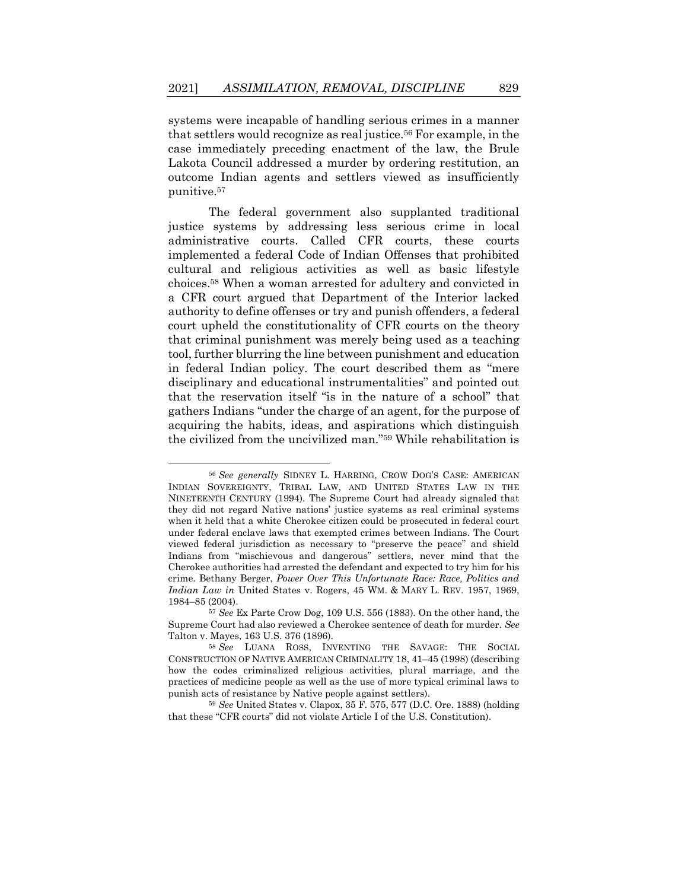systems were incapable of handling serious crimes in a manner that settlers would recognize as real justice.<sup>56</sup> For example, in the case immediately preceding enactment of the law, the Brule Lakota Council addressed a murder by ordering restitution, an outcome Indian agents and settlers viewed as insufficiently punitive.<sup>57</sup>

The federal government also supplanted traditional justice systems by addressing less serious crime in local administrative courts. Called CFR courts, these courts implemented a federal Code of Indian Offenses that prohibited cultural and religious activities as well as basic lifestyle choices.<sup>58</sup> When a woman arrested for adultery and convicted in a CFR court argued that Department of the Interior lacked authority to define offenses or try and punish offenders, a federal court upheld the constitutionality of CFR courts on the theory that criminal punishment was merely being used as a teaching tool, further blurring the line between punishment and education in federal Indian policy. The court described them as "mere disciplinary and educational instrumentalities" and pointed out that the reservation itself "is in the nature of a school" that gathers Indians "under the charge of an agent, for the purpose of acquiring the habits, ideas, and aspirations which distinguish the civilized from the uncivilized man."<sup>59</sup> While rehabilitation is

<sup>59</sup> *See* United States v. Clapox, 35 F. 575, 577 (D.C. Ore. 1888) (holding that these "CFR courts" did not violate Article I of the U.S. Constitution).

<sup>56</sup> *See generally* SIDNEY L. HARRING, CROW DOG'S CASE: AMERICAN INDIAN SOVEREIGNTY, TRIBAL LAW, AND UNITED STATES LAW IN THE NINETEENTH CENTURY (1994). The Supreme Court had already signaled that they did not regard Native nations' justice systems as real criminal systems when it held that a white Cherokee citizen could be prosecuted in federal court under federal enclave laws that exempted crimes between Indians. The Court viewed federal jurisdiction as necessary to "preserve the peace" and shield Indians from "mischievous and dangerous" settlers, never mind that the Cherokee authorities had arrested the defendant and expected to try him for his crime. Bethany Berger, *Power Over This Unfortunate Race: Race, Politics and Indian Law in* United States v. Rogers, 45 WM. & MARY L. REV. 1957, 1969, 1984–85 (2004).

<sup>57</sup> *See* Ex Parte Crow Dog, 109 U.S. 556 (1883). On the other hand, the Supreme Court had also reviewed a Cherokee sentence of death for murder. *See* Talton v. Mayes, 163 U.S. 376 (1896).

<sup>58</sup> *See* LUANA ROSS, INVENTING THE SAVAGE: THE SOCIAL CONSTRUCTION OF NATIVE AMERICAN CRIMINALITY 18, 41–45 (1998) (describing how the codes criminalized religious activities, plural marriage, and the practices of medicine people as well as the use of more typical criminal laws to punish acts of resistance by Native people against settlers).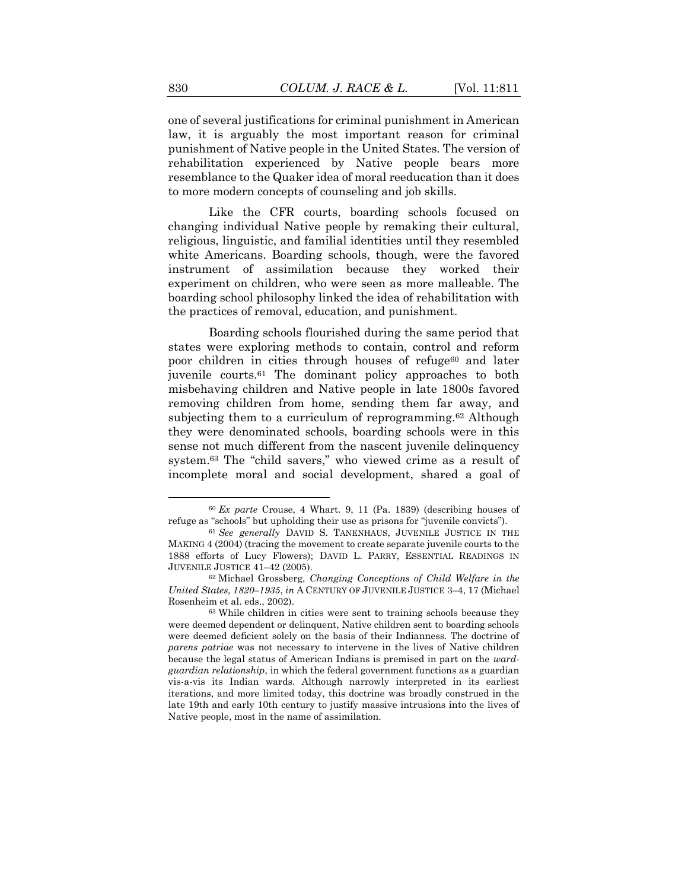one of several justifications for criminal punishment in American law, it is arguably the most important reason for criminal punishment of Native people in the United States. The version of rehabilitation experienced by Native people bears more resemblance to the Quaker idea of moral reeducation than it does to more modern concepts of counseling and job skills.

Like the CFR courts, boarding schools focused on changing individual Native people by remaking their cultural, religious, linguistic, and familial identities until they resembled white Americans. Boarding schools, though, were the favored instrument of assimilation because they worked their experiment on children, who were seen as more malleable. The boarding school philosophy linked the idea of rehabilitation with the practices of removal, education, and punishment.

<span id="page-20-1"></span><span id="page-20-0"></span>Boarding schools flourished during the same period that states were exploring methods to contain, control and reform poor children in cities through houses of refuge<sup>60</sup> and later juvenile courts.<sup>61</sup> The dominant policy approaches to both misbehaving children and Native people in late 1800s favored removing children from home, sending them far away, and subjecting them to a curriculum of reprogramming.<sup>62</sup> Although they were denominated schools, boarding schools were in this sense not much different from the nascent juvenile delinquency system.<sup>63</sup> The "child savers," who viewed crime as a result of incomplete moral and social development, shared a goal of

<sup>60</sup> *Ex parte* Crouse, 4 Whart. 9, 11 (Pa. 1839) (describing houses of refuge as "schools" but upholding their use as prisons for "juvenile convicts").

<sup>61</sup> *See generally* DAVID S. TANENHAUS, JUVENILE JUSTICE IN THE MAKING 4 (2004) (tracing the movement to create separate juvenile courts to the 1888 efforts of Lucy Flowers); DAVID L. PARRY, ESSENTIAL READINGS IN JUVENILE JUSTICE 41–42 (2005).

<sup>62</sup> Michael Grossberg, *Changing Conceptions of Child Welfare in the United States, 1820–1935*, *in* A CENTURY OF JUVENILE JUSTICE 3–4, 17 (Michael Rosenheim et al. eds., 2002).

<sup>63</sup> While children in cities were sent to training schools because they were deemed dependent or delinquent, Native children sent to boarding schools were deemed deficient solely on the basis of their Indianness. The doctrine of *parens patriae* was not necessary to intervene in the lives of Native children because the legal status of American Indians is premised in part on the *wardguardian relationship*, in which the federal government functions as a guardian vis-a-vis its Indian wards. Although narrowly interpreted in its earliest iterations, and more limited today, this doctrine was broadly construed in the late 19th and early 10th century to justify massive intrusions into the lives of Native people, most in the name of assimilation.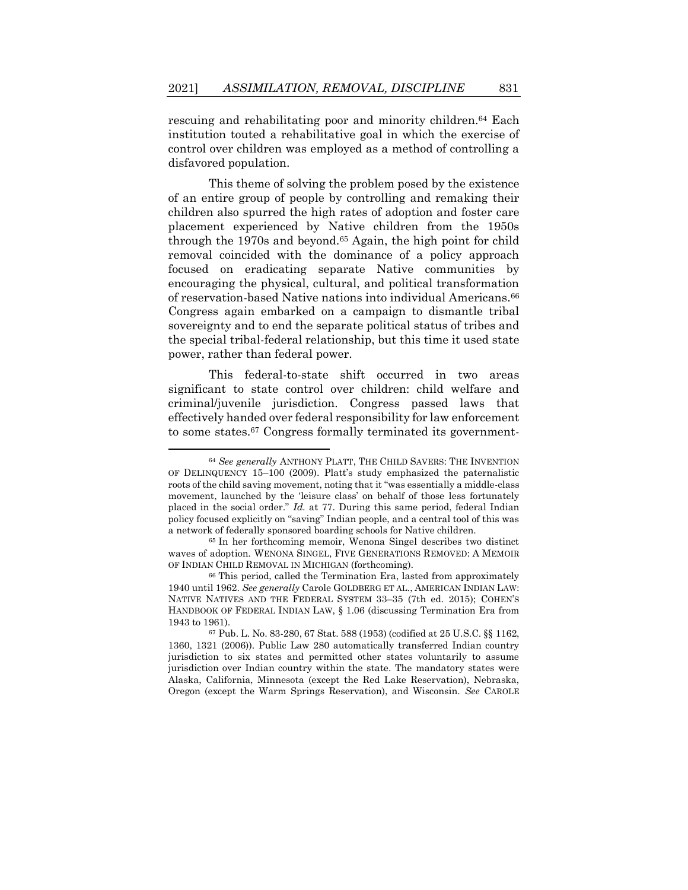rescuing and rehabilitating poor and minority children.<sup>64</sup> Each institution touted a rehabilitative goal in which the exercise of control over children was employed as a method of controlling a disfavored population.

<span id="page-21-1"></span>This theme of solving the problem posed by the existence of an entire group of people by controlling and remaking their children also spurred the high rates of adoption and foster care placement experienced by Native children from the 1950s through the 1970s and beyond.<sup>65</sup> Again, the high point for child removal coincided with the dominance of a policy approach focused on eradicating separate Native communities by encouraging the physical, cultural, and political transformation of reservation-based Native nations into individual Americans.<sup>66</sup> Congress again embarked on a campaign to dismantle tribal sovereignty and to end the separate political status of tribes and the special tribal-federal relationship, but this time it used state power, rather than federal power.

<span id="page-21-0"></span>This federal-to-state shift occurred in two areas significant to state control over children: child welfare and criminal/juvenile jurisdiction. Congress passed laws that effectively handed over federal responsibility for law enforcement to some states.<sup>67</sup> Congress formally terminated its government-

<sup>64</sup> *See generally* ANTHONY PLATT, THE CHILD SAVERS: THE INVENTION OF DELINQUENCY 15–100 (2009). Platt's study emphasized the paternalistic roots of the child saving movement, noting that it "was essentially a middle-class movement, launched by the 'leisure class' on behalf of those less fortunately placed in the social order." *Id.* at 77. During this same period, federal Indian policy focused explicitly on "saving" Indian people, and a central tool of this was a network of federally sponsored boarding schools for Native children.

<sup>65</sup> In her forthcoming memoir, Wenona Singel describes two distinct waves of adoption. WENONA SINGEL, FIVE GENERATIONS REMOVED: A MEMOIR OF INDIAN CHILD REMOVAL IN MICHIGAN (forthcoming).

<sup>66</sup> This period, called the Termination Era, lasted from approximately 1940 until 1962. *See generally* Carole GOLDBERG ET AL., AMERICAN INDIAN LAW: NATIVE NATIVES AND THE FEDERAL SYSTEM 33–35 (7th ed. 2015); COHEN'S HANDBOOK OF FEDERAL INDIAN LAW, § 1.06 (discussing Termination Era from 1943 to 1961).

<sup>67</sup> Pub. L. No. 83-280, 67 Stat. 588 (1953) (codified at 25 U.S.C. §§ 1162, 1360, 1321 (2006)). Public Law 280 automatically transferred Indian country jurisdiction to six states and permitted other states voluntarily to assume jurisdiction over Indian country within the state. The mandatory states were Alaska, California, Minnesota (except the Red Lake Reservation), Nebraska, Oregon (except the Warm Springs Reservation), and Wisconsin. *See* CAROLE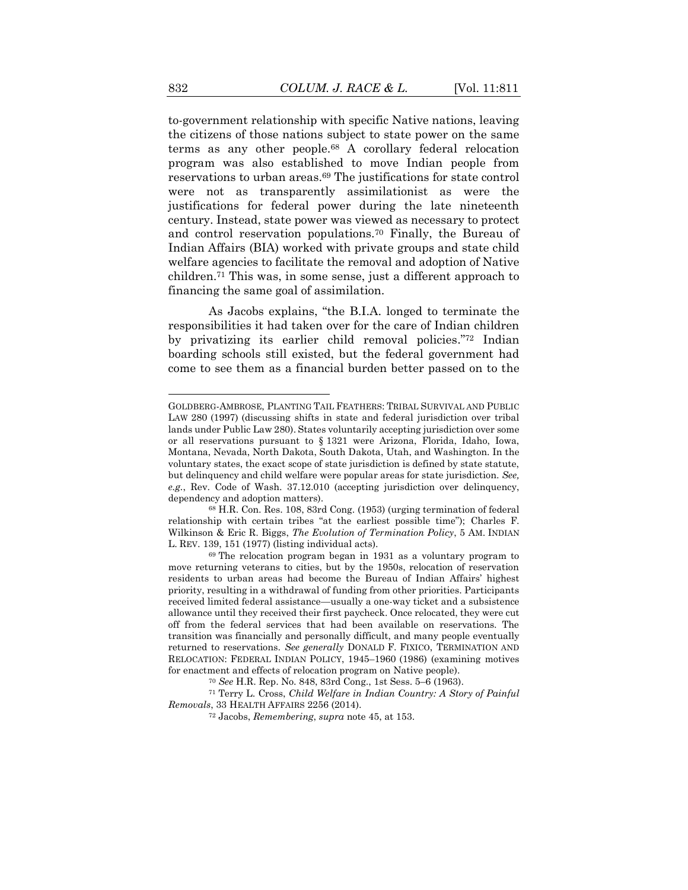to-government relationship with specific Native nations, leaving the citizens of those nations subject to state power on the same terms as any other people.<sup>68</sup> A corollary federal relocation program was also established to move Indian people from reservations to urban areas.<sup>69</sup> The justifications for state control were not as transparently assimilationist as were the justifications for federal power during the late nineteenth century. Instead, state power was viewed as necessary to protect and control reservation populations.<sup>70</sup> Finally, the Bureau of Indian Affairs (BIA) worked with private groups and state child welfare agencies to facilitate the removal and adoption of Native children.<sup>71</sup> This was, in some sense, just a different approach to financing the same goal of assimilation.

<span id="page-22-0"></span>As Jacobs explains, "the B.I.A. longed to terminate the responsibilities it had taken over for the care of Indian children by privatizing its earlier child removal policies."<sup>72</sup> Indian boarding schools still existed, but the federal government had come to see them as a financial burden better passed on to the

<sup>70</sup> *See* H.R. Rep. No. 848, 83rd Cong., 1st Sess. 5–6 (1963).

GOLDBERG-AMBROSE, PLANTING TAIL FEATHERS: TRIBAL SURVIVAL AND PUBLIC LAW 280 (1997) (discussing shifts in state and federal jurisdiction over tribal lands under Public Law 280). States voluntarily accepting jurisdiction over some or all reservations pursuant to § 1321 were Arizona, Florida, Idaho, Iowa, Montana, Nevada, North Dakota, South Dakota, Utah, and Washington. In the voluntary states, the exact scope of state jurisdiction is defined by state statute, but delinquency and child welfare were popular areas for state jurisdiction. *See, e.g.*, Rev. Code of Wash. 37.12.010 (accepting jurisdiction over delinquency, dependency and adoption matters).

<sup>68</sup> H.R. Con. Res. 108, 83rd Cong. (1953) (urging termination of federal relationship with certain tribes "at the earliest possible time"); Charles F. Wilkinson & Eric R. Biggs, *The Evolution of Termination Policy*, 5 AM. INDIAN L. REV. 139, 151 (1977) (listing individual acts).

<sup>69</sup> The relocation program began in 1931 as a voluntary program to move returning veterans to cities, but by the 1950s, relocation of reservation residents to urban areas had become the Bureau of Indian Affairs' highest priority, resulting in a withdrawal of funding from other priorities. Participants received limited federal assistance—usually a one-way ticket and a subsistence allowance until they received their first paycheck. Once relocated, they were cut off from the federal services that had been available on reservations. The transition was financially and personally difficult, and many people eventually returned to reservations. *See generally* DONALD F. FIXICO, TERMINATION AND RELOCATION: FEDERAL INDIAN POLICY, 1945–1960 (1986) (examining motives for enactment and effects of relocation program on Native people).

<sup>71</sup> Terry L. Cross, *Child Welfare in Indian Country: A Story of Painful Removals*, 33 HEALTH AFFAIRS 2256 (2014).

<sup>72</sup> Jacobs, *Remembering*, *supra* note [45,](#page-16-1) at 153.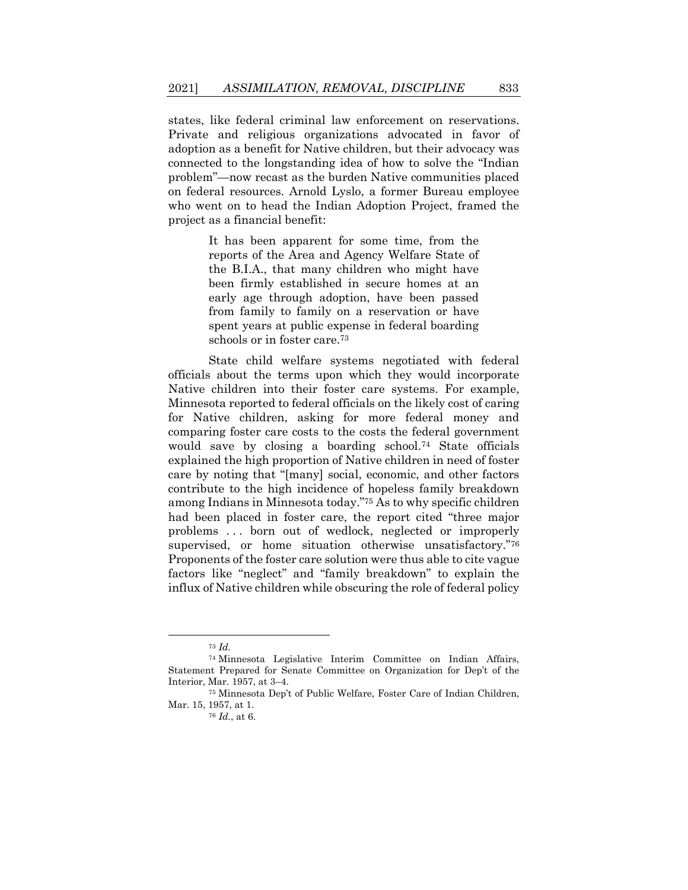states, like federal criminal law enforcement on reservations. Private and religious organizations advocated in favor of adoption as a benefit for Native children, but their advocacy was connected to the longstanding idea of how to solve the "Indian problem"—now recast as the burden Native communities placed on federal resources. Arnold Lyslo, a former Bureau employee who went on to head the Indian Adoption Project, framed the project as a financial benefit:

> It has been apparent for some time, from the reports of the Area and Agency Welfare State of the B.I.A., that many children who might have been firmly established in secure homes at an early age through adoption, have been passed from family to family on a reservation or have spent years at public expense in federal boarding schools or in foster care. 73

State child welfare systems negotiated with federal officials about the terms upon which they would incorporate Native children into their foster care systems. For example, Minnesota reported to federal officials on the likely cost of caring for Native children, asking for more federal money and comparing foster care costs to the costs the federal government would save by closing a boarding school.<sup>74</sup> State officials explained the high proportion of Native children in need of foster care by noting that "[many] social, economic, and other factors contribute to the high incidence of hopeless family breakdown among Indians in Minnesota today."<sup>75</sup> As to why specific children had been placed in foster care, the report cited "three major problems . . . born out of wedlock, neglected or improperly supervised, or home situation otherwise unsatisfactory."<sup>76</sup> Proponents of the foster care solution were thus able to cite vague factors like "neglect" and "family breakdown" to explain the influx of Native children while obscuring the role of federal policy

<sup>73</sup> *Id.*

<sup>74</sup> Minnesota Legislative Interim Committee on Indian Affairs, Statement Prepared for Senate Committee on Organization for Dep't of the Interior, Mar. 1957, at 3–4.

<sup>75</sup> Minnesota Dep't of Public Welfare, Foster Care of Indian Children, Mar. 15, 1957, at 1.

<sup>76</sup> *Id.*, at 6.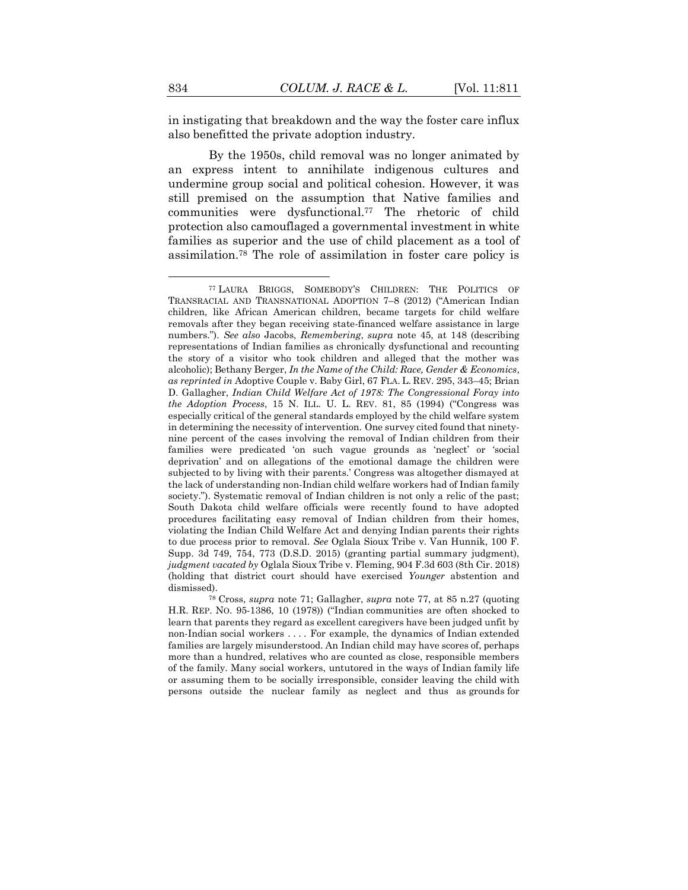in instigating that breakdown and the way the foster care influx also benefitted the private adoption industry.

<span id="page-24-0"></span>By the 1950s, child removal was no longer animated by an express intent to annihilate indigenous cultures and undermine group social and political cohesion. However, it was still premised on the assumption that Native families and communities were dysfunctional.<sup>77</sup> The rhetoric of child protection also camouflaged a governmental investment in white families as superior and the use of child placement as a tool of assimilation.<sup>78</sup> The role of assimilation in foster care policy is

<sup>78</sup> Cross, *supra* note [71;](#page-22-0) Gallagher, *supra* note [77,](#page-24-0) at 85 n.27 (quoting H.R. REP. NO. 95-1386, 10 (1978)) ("Indian communities are often shocked to learn that parents they regard as excellent caregivers have been judged unfit by non-Indian social workers . . . . For example, the dynamics of Indian extended families are largely misunderstood. An Indian child may have scores of, perhaps more than a hundred, relatives who are counted as close, responsible members of the family. Many social workers, untutored in the ways of Indian family life or assuming them to be socially irresponsible, consider leaving the child with persons outside the nuclear family as neglect and thus as grounds for

<sup>77</sup> LAURA BRIGGS, SOMEBODY'S CHILDREN: THE POLITICS OF TRANSRACIAL AND TRANSNATIONAL ADOPTION 7–8 (2012) ("American Indian children, like African American children, became targets for child welfare removals after they began receiving state-financed welfare assistance in large numbers."). *See also* Jacobs, *Remembering*, *supra* note [45,](#page-16-1) at 148 (describing representations of Indian families as chronically dysfunctional and recounting the story of a visitor who took children and alleged that the mother was alcoholic); Bethany Berger, *In the Name of the Child: Race, Gender & Economics*, *as reprinted in* Adoptive Couple v. Baby Girl, 67 FLA. L. REV. 295, 343–45; Brian D. Gallagher, *Indian Child Welfare Act of 1978: The Congressional Foray into the Adoption Process*, 15 N. ILL. U. L. REV. 81, 85 (1994) ("Congress was especially critical of the general standards employed by the child welfare system in determining the necessity of intervention. One survey cited found that ninetynine percent of the cases involving the removal of Indian children from their families were predicated 'on such vague grounds as 'neglect' or 'social deprivation' and on allegations of the emotional damage the children were subjected to by living with their parents.' Congress was altogether dismayed at the lack of understanding non-Indian child welfare workers had of Indian family society."). Systematic removal of Indian children is not only a relic of the past; South Dakota child welfare officials were recently found to have adopted procedures facilitating easy removal of Indian children from their homes, violating the Indian Child Welfare Act and denying Indian parents their rights to due process prior to removal. *See* Oglala Sioux Tribe v. Van Hunnik, 100 F. Supp. 3d 749, 754, 773 (D.S.D. 2015) (granting partial summary judgment), *judgment vacated by* Oglala Sioux Tribe v. Fleming, 904 F.3d 603 (8th Cir. 2018) (holding that district court should have exercised *Younger* abstention and dismissed).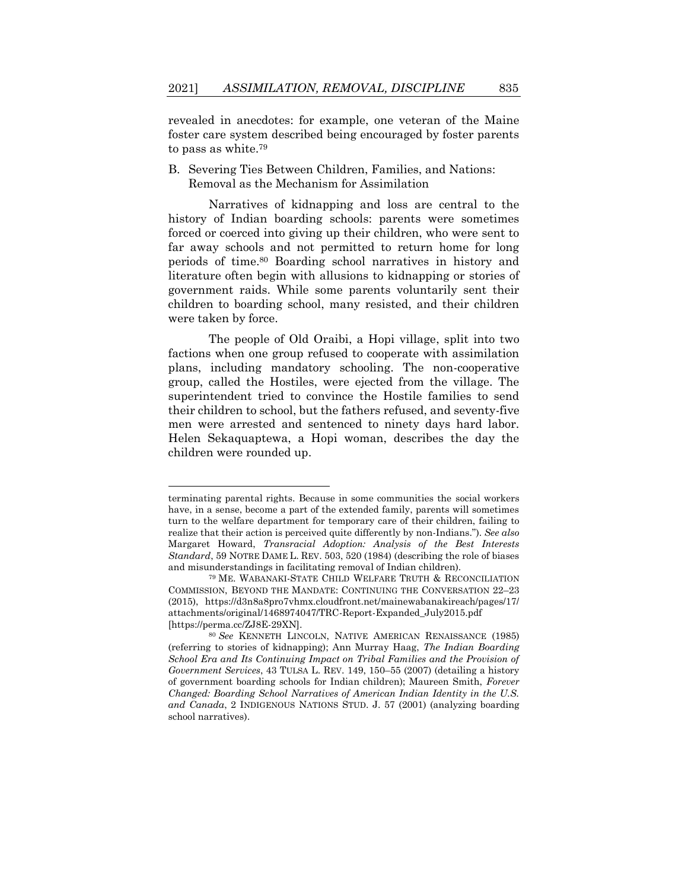revealed in anecdotes: for example, one veteran of the Maine foster care system described being encouraged by foster parents to pass as white.<sup>79</sup>

<span id="page-25-1"></span>B. Severing Ties Between Children, Families, and Nations: Removal as the Mechanism for Assimilation

<span id="page-25-0"></span>Narratives of kidnapping and loss are central to the history of Indian boarding schools: parents were sometimes forced or coerced into giving up their children, who were sent to far away schools and not permitted to return home for long periods of time.<sup>80</sup> Boarding school narratives in history and literature often begin with allusions to kidnapping or stories of government raids. While some parents voluntarily sent their children to boarding school, many resisted, and their children were taken by force.

The people of Old Oraibi, a Hopi village, split into two factions when one group refused to cooperate with assimilation plans, including mandatory schooling. The non-cooperative group, called the Hostiles, were ejected from the village. The superintendent tried to convince the Hostile families to send their children to school, but the fathers refused, and seventy-five men were arrested and sentenced to ninety days hard labor. Helen Sekaquaptewa, a Hopi woman, describes the day the children were rounded up.

terminating parental rights. Because in some communities the social workers have, in a sense, become a part of the extended family, parents will sometimes turn to the welfare department for temporary care of their children, failing to realize that their action is perceived quite differently by non-Indians."). *See also*  Margaret Howard, *Transracial Adoption: Analysis of the Best Interests Standard*, 59 NOTRE DAME L. REV. 503, 520 (1984) (describing the role of biases and misunderstandings in facilitating removal of Indian children).

<sup>79</sup> ME. WABANAKI-STATE CHILD WELFARE TRUTH & RECONCILIATION COMMISSION, BEYOND THE MANDATE: CONTINUING THE CONVERSATION 22–23 (2015), https://d3n8a8pro7vhmx.cloudfront.net/mainewabanakireach/pages/17/ attachments/original/1468974047/TRC-Report-Expanded\_July2015.pdf [https://perma.cc/ZJ8E-29XN].

<sup>80</sup> *See* KENNETH LINCOLN, NATIVE AMERICAN RENAISSANCE (1985) (referring to stories of kidnapping); Ann Murray Haag, *The Indian Boarding School Era and Its Continuing Impact on Tribal Families and the Provision of Government Services*, 43 TULSA L. REV. 149, 150–55 (2007) (detailing a history of government boarding schools for Indian children); Maureen Smith, *Forever Changed: Boarding School Narratives of American Indian Identity in the U.S. and Canada*, 2 INDIGENOUS NATIONS STUD. J. 57 (2001) (analyzing boarding school narratives).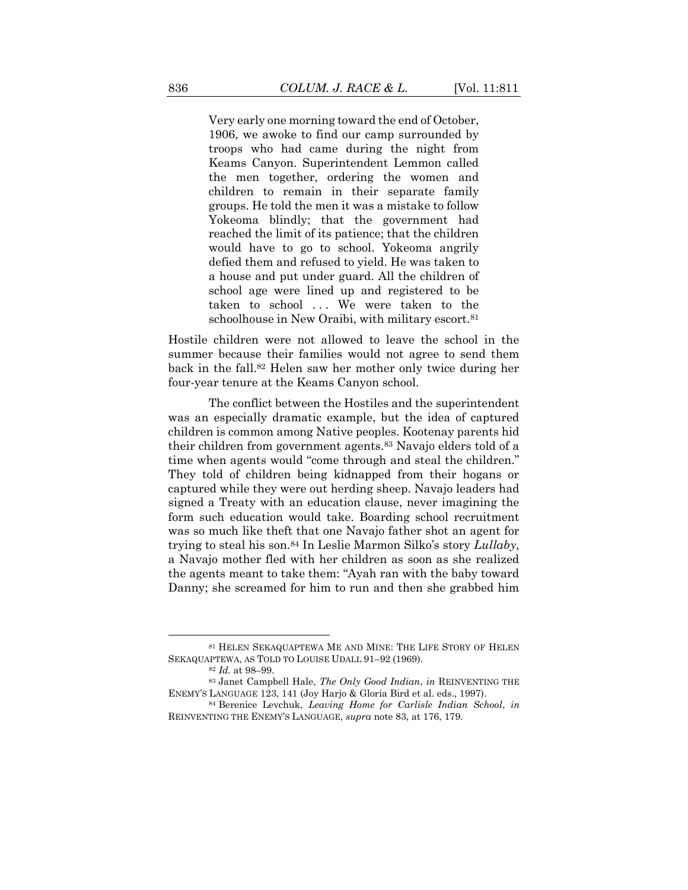Very early one morning toward the end of October, 1906, we awoke to find our camp surrounded by troops who had came during the night from Keams Canyon. Superintendent Lemmon called the men together, ordering the women and children to remain in their separate family groups. He told the men it was a mistake to follow Yokeoma blindly; that the government had reached the limit of its patience; that the children would have to go to school. Yokeoma angrily defied them and refused to yield. He was taken to a house and put under guard. All the children of school age were lined up and registered to be taken to school ... We were taken to the schoolhouse in New Oraibi, with military escort.<sup>81</sup>

Hostile children were not allowed to leave the school in the summer because their families would not agree to send them back in the fall.<sup>82</sup> Helen saw her mother only twice during her four-year tenure at the Keams Canyon school.

<span id="page-26-0"></span>The conflict between the Hostiles and the superintendent was an especially dramatic example, but the idea of captured children is common among Native peoples. Kootenay parents hid their children from government agents.<sup>83</sup> Navajo elders told of a time when agents would "come through and steal the children." They told of children being kidnapped from their hogans or captured while they were out herding sheep. Navajo leaders had signed a Treaty with an education clause, never imagining the form such education would take. Boarding school recruitment was so much like theft that one Navajo father shot an agent for trying to steal his son.<sup>84</sup> In Leslie Marmon Silko's story *Lullaby*, a Navajo mother fled with her children as soon as she realized the agents meant to take them: "Ayah ran with the baby toward Danny; she screamed for him to run and then she grabbed him

<sup>81</sup> HELEN SEKAQUAPTEWA ME AND MINE: THE LIFE STORY OF HELEN SEKAQUAPTEWA, AS TOLD TO LOUISE UDALL 91–92 (1969).

<span id="page-26-1"></span><sup>82</sup> *Id.* at 98–99.

<sup>83</sup> Janet Campbell Hale, *The Only Good Indian*, *in* REINVENTING THE ENEMY'S LANGUAGE 123, 141 (Joy Harjo & Gloria Bird et al. eds., 1997).

<sup>84</sup> Berenice Levchuk, *Leaving Home for Carlisle Indian School*, *in*  REINVENTING THE ENEMY'S LANGUAGE, *supra* note [83,](#page-26-0) at 176, 179.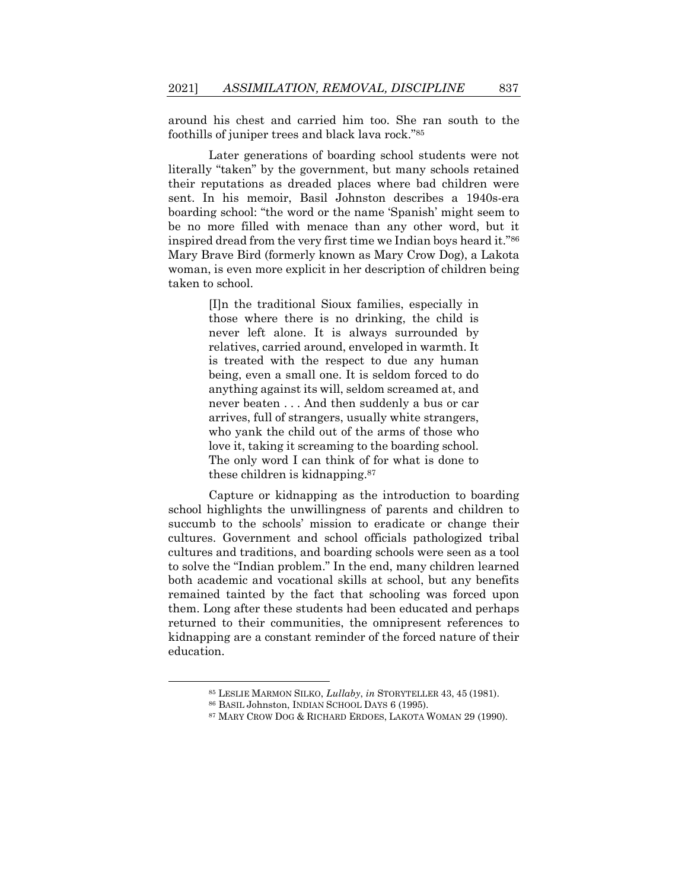<span id="page-27-0"></span>around his chest and carried him too. She ran south to the foothills of juniper trees and black lava rock."<sup>85</sup>

Later generations of boarding school students were not literally "taken" by the government, but many schools retained their reputations as dreaded places where bad children were sent. In his memoir, Basil Johnston describes a 1940s-era boarding school: "the word or the name 'Spanish' might seem to be no more filled with menace than any other word, but it inspired dread from the very first time we Indian boys heard it."<sup>86</sup> Mary Brave Bird (formerly known as Mary Crow Dog), a Lakota woman, is even more explicit in her description of children being taken to school.

> [I]n the traditional Sioux families, especially in those where there is no drinking, the child is never left alone. It is always surrounded by relatives, carried around, enveloped in warmth. It is treated with the respect to due any human being, even a small one. It is seldom forced to do anything against its will, seldom screamed at, and never beaten . . . And then suddenly a bus or car arrives, full of strangers, usually white strangers, who yank the child out of the arms of those who love it, taking it screaming to the boarding school. The only word I can think of for what is done to these children is kidnapping.<sup>87</sup>

<span id="page-27-1"></span>Capture or kidnapping as the introduction to boarding school highlights the unwillingness of parents and children to succumb to the schools' mission to eradicate or change their cultures. Government and school officials pathologized tribal cultures and traditions, and boarding schools were seen as a tool to solve the "Indian problem." In the end, many children learned both academic and vocational skills at school, but any benefits remained tainted by the fact that schooling was forced upon them. Long after these students had been educated and perhaps returned to their communities, the omnipresent references to kidnapping are a constant reminder of the forced nature of their education.

<sup>85</sup> LESLIE MARMON SILKO, *Lullaby*, *in* STORYTELLER 43, 45 (1981).

<sup>86</sup> BASIL Johnston, INDIAN SCHOOL DAYS 6 (1995).

<sup>87</sup> MARY CROW DOG & RICHARD ERDOES, LAKOTA WOMAN 29 (1990).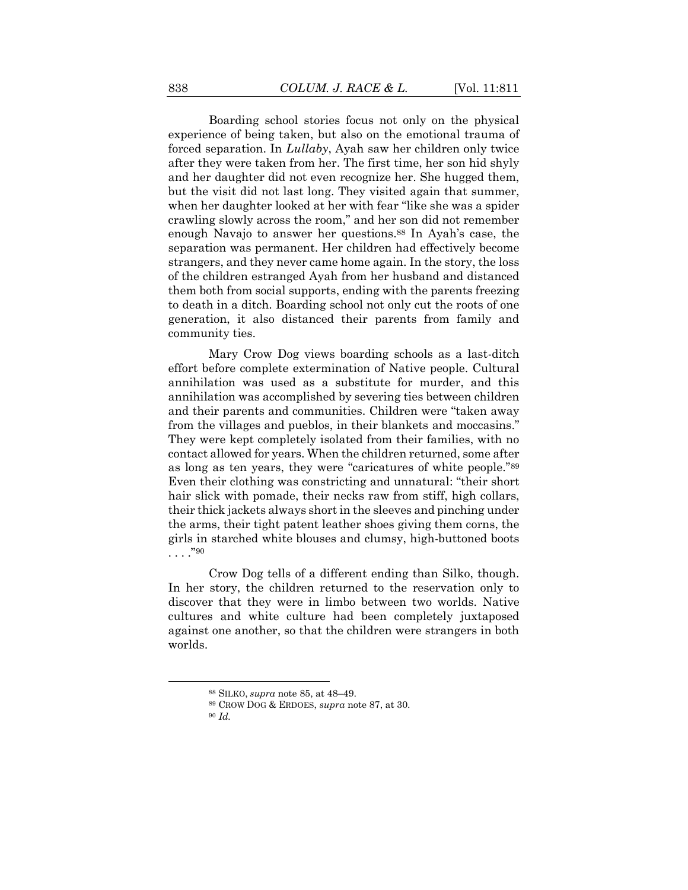Boarding school stories focus not only on the physical experience of being taken, but also on the emotional trauma of forced separation. In *Lullaby*, Ayah saw her children only twice after they were taken from her. The first time, her son hid shyly and her daughter did not even recognize her. She hugged them, but the visit did not last long. They visited again that summer, when her daughter looked at her with fear "like she was a spider crawling slowly across the room," and her son did not remember enough Navajo to answer her questions.<sup>88</sup> In Ayah's case, the separation was permanent. Her children had effectively become strangers, and they never came home again. In the story, the loss of the children estranged Ayah from her husband and distanced them both from social supports, ending with the parents freezing to death in a ditch. Boarding school not only cut the roots of one generation, it also distanced their parents from family and community ties.

Mary Crow Dog views boarding schools as a last-ditch effort before complete extermination of Native people. Cultural annihilation was used as a substitute for murder, and this annihilation was accomplished by severing ties between children and their parents and communities. Children were "taken away from the villages and pueblos, in their blankets and moccasins." They were kept completely isolated from their families, with no contact allowed for years. When the children returned, some after as long as ten years, they were "caricatures of white people."<sup>89</sup> Even their clothing was constricting and unnatural: "their short hair slick with pomade, their necks raw from stiff, high collars, their thick jackets always short in the sleeves and pinching under the arms, their tight patent leather shoes giving them corns, the girls in starched white blouses and clumsy, high-buttoned boots . . . ."<sup>90</sup>

Crow Dog tells of a different ending than Silko, though. In her story, the children returned to the reservation only to discover that they were in limbo between two worlds. Native cultures and white culture had been completely juxtaposed against one another, so that the children were strangers in both worlds.

<sup>88</sup> SILKO, *supra* note [85,](#page-27-0) at 48–49.

<sup>89</sup> CROW DOG & ERDOES, *supra* not[e 87,](#page-27-1) at 30.

<sup>90</sup> *Id.*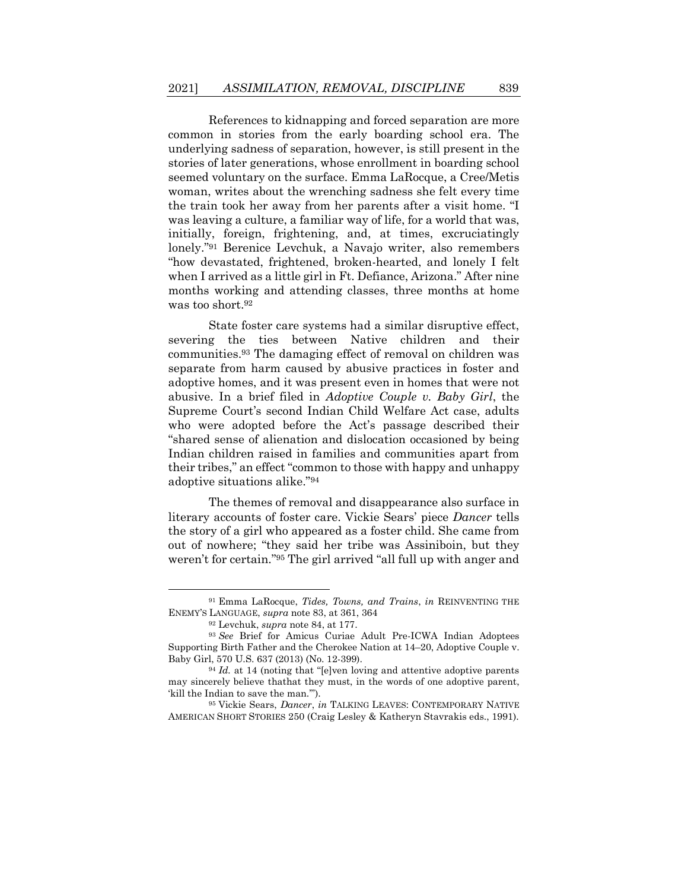References to kidnapping and forced separation are more common in stories from the early boarding school era. The underlying sadness of separation, however, is still present in the stories of later generations, whose enrollment in boarding school seemed voluntary on the surface. Emma LaRocque, a Cree/Metis woman, writes about the wrenching sadness she felt every time the train took her away from her parents after a visit home. "I was leaving a culture, a familiar way of life, for a world that was, initially, foreign, frightening, and, at times, excruciatingly lonely."<sup>91</sup> Berenice Levchuk, a Navajo writer, also remembers "how devastated, frightened, broken-hearted, and lonely I felt when I arrived as a little girl in Ft. Defiance, Arizona." After nine months working and attending classes, three months at home was too short.<sup>92</sup>

State foster care systems had a similar disruptive effect, severing the ties between Native children and their communities.<sup>93</sup> The damaging effect of removal on children was separate from harm caused by abusive practices in foster and adoptive homes, and it was present even in homes that were not abusive. In a brief filed in *Adoptive Couple v. Baby Girl*, the Supreme Court's second Indian Child Welfare Act case, adults who were adopted before the Act's passage described their "shared sense of alienation and dislocation occasioned by being Indian children raised in families and communities apart from their tribes," an effect "common to those with happy and unhappy adoptive situations alike."<sup>94</sup>

The themes of removal and disappearance also surface in literary accounts of foster care. Vickie Sears' piece *Dancer* tells the story of a girl who appeared as a foster child. She came from out of nowhere; "they said her tribe was Assiniboin, but they weren't for certain."<sup>95</sup> The girl arrived "all full up with anger and

<sup>91</sup> Emma LaRocque, *Tides, Towns, and Trains*, *in* REINVENTING THE ENEMY'S LANGUAGE, *supra* note [83,](#page-26-0) at 361, 364

<sup>92</sup> Levchuk, *supra* note [84,](#page-26-1) at 177.

<sup>93</sup> *See* Brief for Amicus Curiae Adult Pre-ICWA Indian Adoptees Supporting Birth Father and the Cherokee Nation at 14–20, Adoptive Couple v. Baby Girl, 570 U.S. 637 (2013) (No. 12-399).

<sup>94</sup> *Id.* at 14 (noting that "[e]ven loving and attentive adoptive parents may sincerely believe thathat they must, in the words of one adoptive parent, 'kill the Indian to save the man.'").

<sup>95</sup> Vickie Sears, *Dancer*, *in* TALKING LEAVES: CONTEMPORARY NATIVE AMERICAN SHORT STORIES 250 (Craig Lesley & Katheryn Stavrakis eds., 1991).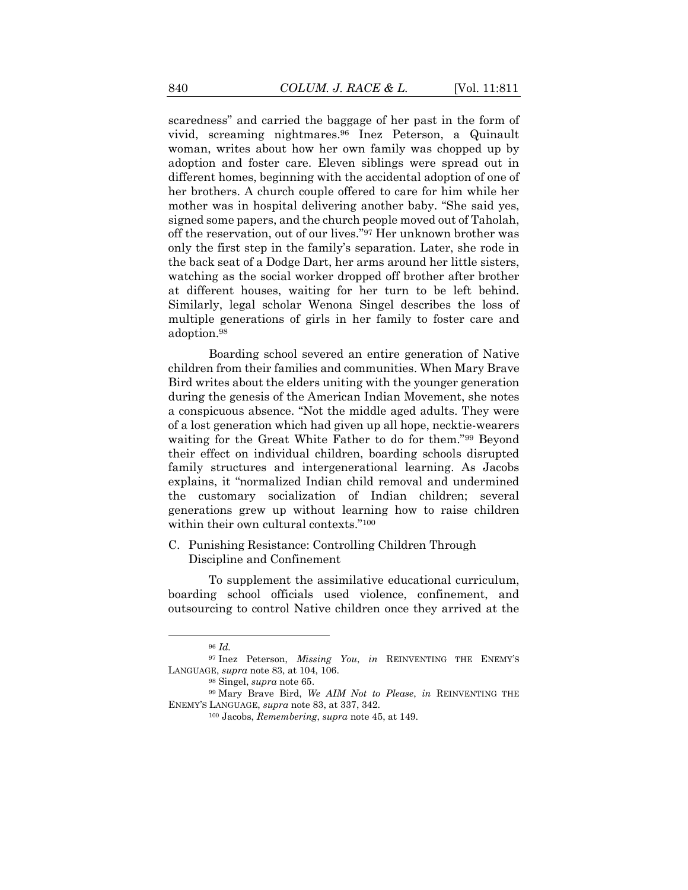scaredness" and carried the baggage of her past in the form of vivid, screaming nightmares.<sup>96</sup> Inez Peterson, a Quinault woman, writes about how her own family was chopped up by adoption and foster care. Eleven siblings were spread out in different homes, beginning with the accidental adoption of one of her brothers. A church couple offered to care for him while her mother was in hospital delivering another baby. "She said yes, signed some papers, and the church people moved out of Taholah, off the reservation, out of our lives."<sup>97</sup> Her unknown brother was only the first step in the family's separation. Later, she rode in the back seat of a Dodge Dart, her arms around her little sisters, watching as the social worker dropped off brother after brother at different houses, waiting for her turn to be left behind. Similarly, legal scholar Wenona Singel describes the loss of multiple generations of girls in her family to foster care and adoption. 98

Boarding school severed an entire generation of Native children from their families and communities. When Mary Brave Bird writes about the elders uniting with the younger generation during the genesis of the American Indian Movement, she notes a conspicuous absence. "Not the middle aged adults. They were of a lost generation which had given up all hope, necktie-wearers waiting for the Great White Father to do for them."<sup>99</sup> Beyond their effect on individual children, boarding schools disrupted family structures and intergenerational learning. As Jacobs explains, it "normalized Indian child removal and undermined the customary socialization of Indian children; several generations grew up without learning how to raise children within their own cultural contexts."<sup>100</sup>

C. Punishing Resistance: Controlling Children Through Discipline and Confinement

To supplement the assimilative educational curriculum, boarding school officials used violence, confinement, and outsourcing to control Native children once they arrived at the

<sup>96</sup> *Id.*

<sup>97</sup> Inez Peterson, *Missing You*, *in* REINVENTING THE ENEMY'S LANGUAGE, *supra* note [83,](#page-26-0) at 104, 106.

<sup>98</sup> Singel, *supra* note [65.](#page-21-1)

<sup>99</sup> Mary Brave Bird, *We AIM Not to Please*, *in* REINVENTING THE ENEMY'S LANGUAGE, *supra* not[e 83,](#page-26-0) at 337, 342.

<sup>100</sup> Jacobs, *Remembering*, *supra* note [45,](#page-16-1) at 149.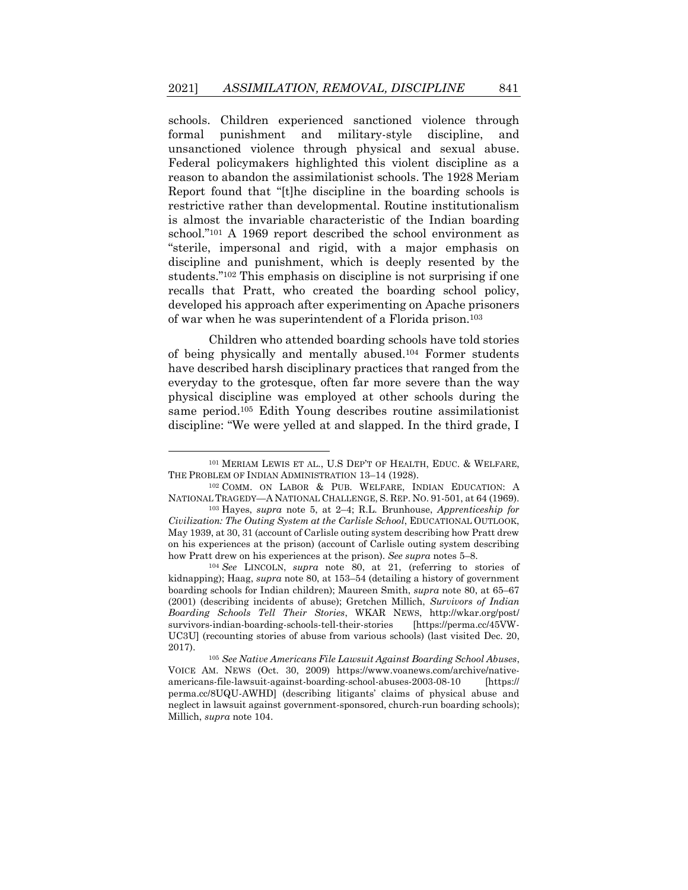schools. Children experienced sanctioned violence through formal punishment and military-style discipline, and unsanctioned violence through physical and sexual abuse. Federal policymakers highlighted this violent discipline as a reason to abandon the assimilationist schools. The 1928 Meriam Report found that "[t]he discipline in the boarding schools is restrictive rather than developmental. Routine institutionalism is almost the invariable characteristic of the Indian boarding school."<sup>101</sup> A 1969 report described the school environment as "sterile, impersonal and rigid, with a major emphasis on discipline and punishment, which is deeply resented by the students."<sup>102</sup> This emphasis on discipline is not surprising if one recalls that Pratt, who created the boarding school policy, developed his approach after experimenting on Apache prisoners of war when he was superintendent of a Florida prison.<sup>103</sup>

<span id="page-31-1"></span><span id="page-31-0"></span>Children who attended boarding schools have told stories of being physically and mentally abused.<sup>104</sup> Former students have described harsh disciplinary practices that ranged from the everyday to the grotesque, often far more severe than the way physical discipline was employed at other schools during the same period.<sup>105</sup> Edith Young describes routine assimilationist discipline: "We were yelled at and slapped. In the third grade, I

<sup>101</sup> MERIAM LEWIS ET AL., U.S DEP'T OF HEALTH, EDUC. & WELFARE, THE PROBLEM OF INDIAN ADMINISTRATION 13–14 (1928).

<sup>102</sup> COMM. ON LABOR & PUB. WELFARE, INDIAN EDUCATION: A NATIONAL TRAGEDY—A NATIONAL CHALLENGE, S. REP. NO. 91-501, at 64 (1969).

<sup>103</sup> Hayes, *supra* note [5,](#page-5-0) at 2–4; R.L. Brunhouse, *Apprenticeship for Civilization: The Outing System at the Carlisle School*, EDUCATIONAL OUTLOOK, May 1939, at 30, 31 (account of Carlisle outing system describing how Pratt drew on his experiences at the prison) (account of Carlisle outing system describing how Pratt drew on his experiences at the prison). *See supra* notes [5](#page-5-0)–[8.](#page-5-2)

<sup>104</sup> *See* LINCOLN, *supra* note [80,](#page-25-0) at 21, (referring to stories of kidnapping); Haag, *supra* not[e 80,](#page-25-0) at 153–54 (detailing a history of government boarding schools for Indian children); Maureen Smith, *supra* note [80,](#page-25-0) at 65–67 (2001) (describing incidents of abuse); Gretchen Millich, *Survivors of Indian Boarding Schools Tell Their Stories*, WKAR NEWS, http://wkar.org/post/ survivors-indian-boarding-schools-tell-their-stories [https://perma.cc/45VW-UC3U] (recounting stories of abuse from various schools) (last visited Dec. 20, 2017).

<sup>105</sup> *See Native Americans File Lawsuit Against Boarding School Abuses*, VOICE AM. NEWS (Oct. 30, 2009) https://www.voanews.com/archive/nativeamericans-file-lawsuit-against-boarding-school-abuses-2003-08-10 [https:// perma.cc/8UQU-AWHD] (describing litigants' claims of physical abuse and neglect in lawsuit against government-sponsored, church-run boarding schools); Millich, *supra* not[e 104.](#page-31-0)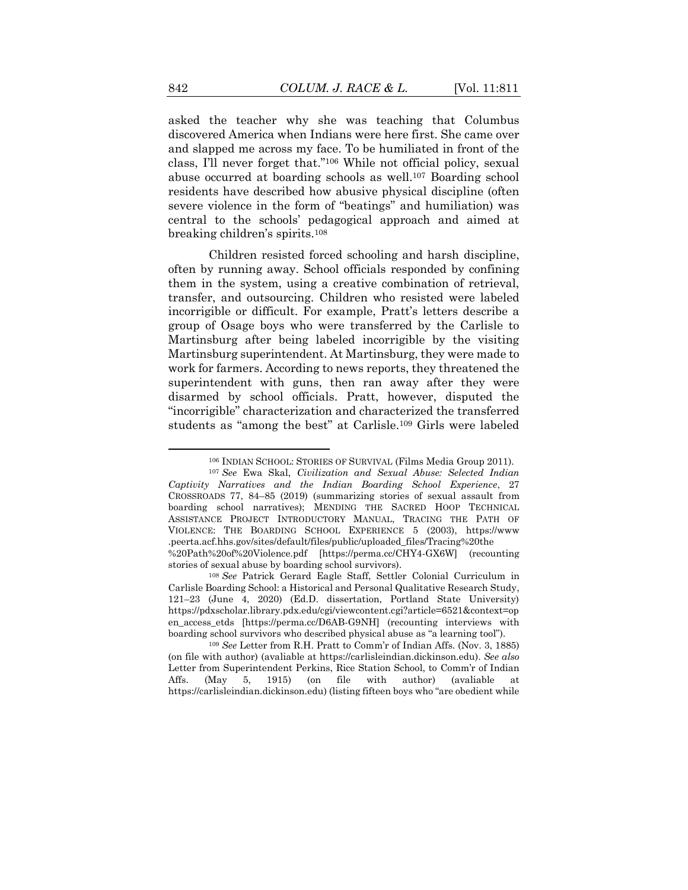asked the teacher why she was teaching that Columbus discovered America when Indians were here first. She came over and slapped me across my face. To be humiliated in front of the class, I'll never forget that."<sup>106</sup> While not official policy, sexual abuse occurred at boarding schools as well.<sup>107</sup> Boarding school residents have described how abusive physical discipline (often severe violence in the form of "beatings" and humiliation) was central to the schools' pedagogical approach and aimed at breaking children's spirits.<sup>108</sup>

Children resisted forced schooling and harsh discipline, often by running away. School officials responded by confining them in the system, using a creative combination of retrieval, transfer, and outsourcing. Children who resisted were labeled incorrigible or difficult. For example, Pratt's letters describe a group of Osage boys who were transferred by the Carlisle to Martinsburg after being labeled incorrigible by the visiting Martinsburg superintendent. At Martinsburg, they were made to work for farmers. According to news reports, they threatened the superintendent with guns, then ran away after they were disarmed by school officials. Pratt, however, disputed the "incorrigible" characterization and characterized the transferred students as "among the best" at Carlisle.<sup>109</sup> Girls were labeled

<span id="page-32-0"></span><sup>106</sup> INDIAN SCHOOL: STORIES OF SURVIVAL (Films Media Group 2011).

<sup>107</sup> *See* Ewa Skal, *Civilization and Sexual Abuse: Selected Indian Captivity Narratives and the Indian Boarding School Experience*, 27 CROSSROADS 77, 84–85 (2019) (summarizing stories of sexual assault from boarding school narratives); MENDING THE SACRED HOOP TECHNICAL ASSISTANCE PROJECT INTRODUCTORY MANUAL, TRACING THE PATH OF VIOLENCE: THE BOARDING SCHOOL EXPERIENCE 5 (2003), https://www .peerta.acf.hhs.gov/sites/default/files/public/uploaded\_files/Tracing%20the %20Path%20of%20Violence.pdf [https://perma.cc/CHY4-GX6W] (recounting stories of sexual abuse by boarding school survivors).

<sup>108</sup> *See* Patrick Gerard Eagle Staff, Settler Colonial Curriculum in Carlisle Boarding School: a Historical and Personal Qualitative Research Study, 121–23 (June 4, 2020) (Ed.D. dissertation, Portland State University) https://pdxscholar.library.pdx.edu/cgi/viewcontent.cgi?article=6521&context=op en\_access\_etds [https://perma.cc/D6AB-G9NH] (recounting interviews with boarding school survivors who described physical abuse as "a learning tool").

<sup>109</sup> *See* Letter from R.H. Pratt to Comm'r of Indian Affs. (Nov. 3, 1885) (on file with author) (avaliable at https://carlisleindian.dickinson.edu). *See also* Letter from Superintendent Perkins, Rice Station School, to Comm'r of Indian Affs. (May 5, 1915) (on file with author) (avaliable at https://carlisleindian.dickinson.edu) (listing fifteen boys who "are obedient while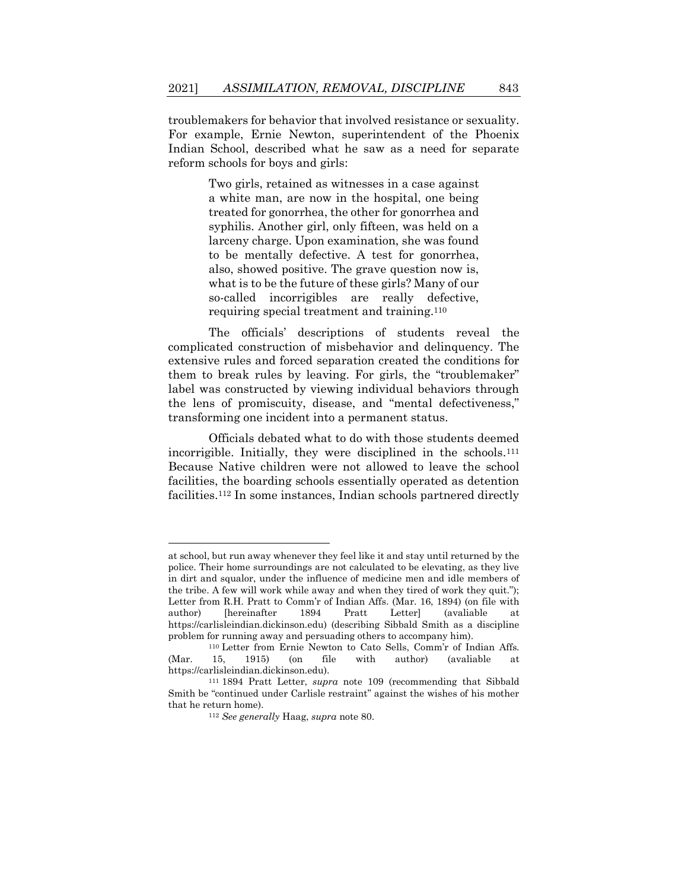troublemakers for behavior that involved resistance or sexuality. For example, Ernie Newton, superintendent of the Phoenix Indian School, described what he saw as a need for separate reform schools for boys and girls:

> Two girls, retained as witnesses in a case against a white man, are now in the hospital, one being treated for gonorrhea, the other for gonorrhea and syphilis. Another girl, only fifteen, was held on a larceny charge. Upon examination, she was found to be mentally defective. A test for gonorrhea, also, showed positive. The grave question now is, what is to be the future of these girls? Many of our so-called incorrigibles are really defective, requiring special treatment and training.<sup>110</sup>

The officials' descriptions of students reveal the complicated construction of misbehavior and delinquency. The extensive rules and forced separation created the conditions for them to break rules by leaving. For girls, the "troublemaker" label was constructed by viewing individual behaviors through the lens of promiscuity, disease, and "mental defectiveness," transforming one incident into a permanent status.

Officials debated what to do with those students deemed incorrigible. Initially, they were disciplined in the schools.<sup>111</sup> Because Native children were not allowed to leave the school facilities, the boarding schools essentially operated as detention facilities.<sup>112</sup> In some instances, Indian schools partnered directly

at school, but run away whenever they feel like it and stay until returned by the police. Their home surroundings are not calculated to be elevating, as they live in dirt and squalor, under the influence of medicine men and idle members of the tribe. A few will work while away and when they tired of work they quit."); Letter from R.H. Pratt to Comm'r of Indian Affs. (Mar. 16, 1894) (on file with author) [hereinafter 1894 Pratt Letter] (avaliable at https://carlisleindian.dickinson.edu) (describing Sibbald Smith as a discipline problem for running away and persuading others to accompany him).

<sup>110</sup> Letter from Ernie Newton to Cato Sells, Comm'r of Indian Affs. (Mar. 15, 1915) (on file with author) (avaliable at https://carlisleindian.dickinson.edu).

<sup>111</sup> 1894 Pratt Letter, *supra* note [109](#page-32-0) (recommending that Sibbald Smith be "continued under Carlisle restraint" against the wishes of his mother that he return home).

<sup>112</sup> *See generally* Haag, *supra* not[e 80.](#page-25-0)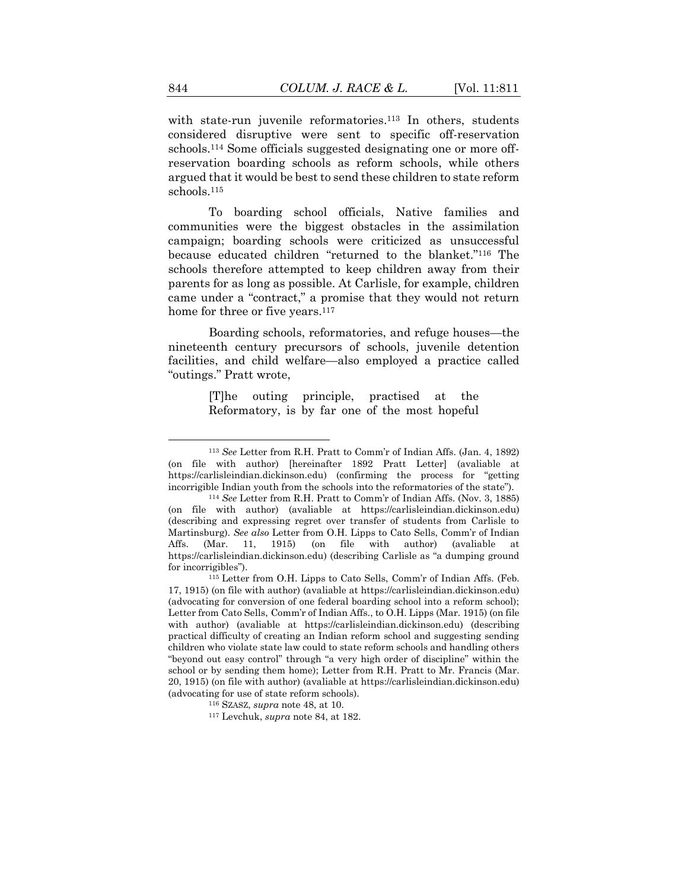<span id="page-34-0"></span>with state-run juvenile reformatories.<sup>113</sup> In others, students considered disruptive were sent to specific off-reservation schools.<sup>114</sup> Some officials suggested designating one or more offreservation boarding schools as reform schools, while others argued that it would be best to send these children to state reform schools.<sup>115</sup>

To boarding school officials, Native families and communities were the biggest obstacles in the assimilation campaign; boarding schools were criticized as unsuccessful because educated children "returned to the blanket."<sup>116</sup> The schools therefore attempted to keep children away from their parents for as long as possible. At Carlisle, for example, children came under a "contract," a promise that they would not return home for three or five years.<sup>117</sup>

Boarding schools, reformatories, and refuge houses—the nineteenth century precursors of schools, juvenile detention facilities, and child welfare—also employed a practice called "outings." Pratt wrote,

> [T]he outing principle, practised at the Reformatory, is by far one of the most hopeful

<sup>113</sup> *See* Letter from R.H. Pratt to Comm'r of Indian Affs. (Jan. 4, 1892) (on file with author) [hereinafter 1892 Pratt Letter] (avaliable at [https://carlisleindian.dickinson.edu\)](https://carlisleindian.dickinson.edu/) (confirming the process for "getting incorrigible Indian youth from the schools into the reformatories of the state").

<sup>114</sup> *See* Letter from R.H. Pratt to Comm'r of Indian Affs. (Nov. 3, 1885) (on file with author) (avaliable at https://carlisleindian.dickinson.edu) (describing and expressing regret over transfer of students from Carlisle to Martinsburg). *See also* Letter from O.H. Lipps to Cato Sells, Comm'r of Indian Affs. (Mar. 11, 1915) (on file with author) (avaliable at https://carlisleindian.dickinson.edu) (describing Carlisle as "a dumping ground for incorrigibles").

<sup>115</sup> Letter from O.H. Lipps to Cato Sells, Comm'r of Indian Affs. (Feb. 17, 1915) (on file with author) (avaliable at [https://carlisleindian.dickinson.edu\)](https://carlisleindian.dickinson.edu/) (advocating for conversion of one federal boarding school into a reform school); Letter from Cato Sells, Comm'r of Indian Affs., to O.H. Lipps (Mar. 1915) (on file with author) (avaliable at https://carlisleindian.dickinson.edu) (describing practical difficulty of creating an Indian reform school and suggesting sending children who violate state law could to state reform schools and handling others "beyond out easy control" through "a very high order of discipline" within the school or by sending them home); Letter from R.H. Pratt to Mr. Francis (Mar. 20, 1915) (on file with author) (avaliable at [https://carlisleindian.dickinson.edu\)](https://carlisleindian.dickinson.edu/) (advocating for use of state reform schools).

<sup>116</sup> SZASZ, *supra* not[e 48,](#page-17-1) at 10.

<sup>117</sup> Levchuk, *supra* note [84,](#page-26-1) at 182.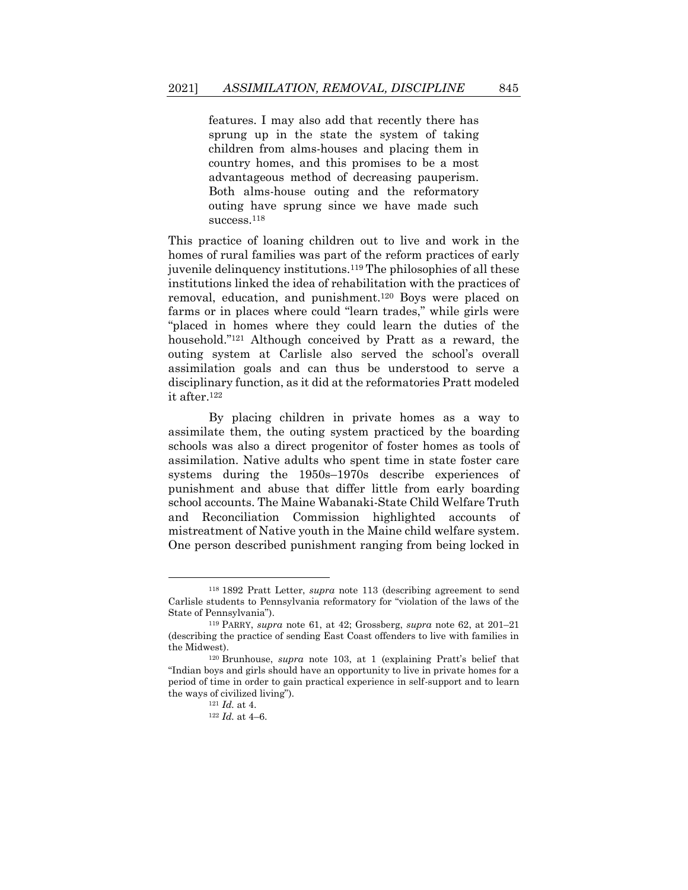features. I may also add that recently there has sprung up in the state the system of taking children from alms-houses and placing them in country homes, and this promises to be a most advantageous method of decreasing pauperism. Both alms-house outing and the reformatory outing have sprung since we have made such success.<sup>118</sup>

This practice of loaning children out to live and work in the homes of rural families was part of the reform practices of early juvenile delinquency institutions.<sup>119</sup> The philosophies of all these institutions linked the idea of rehabilitation with the practices of removal, education, and punishment.<sup>120</sup> Boys were placed on farms or in places where could "learn trades," while girls were "placed in homes where they could learn the duties of the household."<sup>121</sup> Although conceived by Pratt as a reward, the outing system at Carlisle also served the school's overall assimilation goals and can thus be understood to serve a disciplinary function, as it did at the reformatories Pratt modeled it after.<sup>122</sup>

By placing children in private homes as a way to assimilate them, the outing system practiced by the boarding schools was also a direct progenitor of foster homes as tools of assimilation. Native adults who spent time in state foster care systems during the 1950s–1970s describe experiences of punishment and abuse that differ little from early boarding school accounts. The Maine Wabanaki-State Child Welfare Truth and Reconciliation Commission highlighted accounts of mistreatment of Native youth in the Maine child welfare system. One person described punishment ranging from being locked in

<sup>118</sup> 1892 Pratt Letter, *supra* note [113](#page-34-0) (describing agreement to send Carlisle students to Pennsylvania reformatory for "violation of the laws of the State of Pennsylvania").

<sup>119</sup> PARRY, *supra* note [61,](#page-20-0) at 42; Grossberg, *supra* note [62,](#page-20-1) at 201–21 (describing the practice of sending East Coast offenders to live with families in the Midwest).

<sup>120</sup> Brunhouse, *supra* note [103,](#page-31-1) at 1 (explaining Pratt's belief that "Indian boys and girls should have an opportunity to live in private homes for a period of time in order to gain practical experience in self-support and to learn the ways of civilized living").

<sup>121</sup> *Id.* at 4.

<sup>122</sup> *Id.* at 4–6.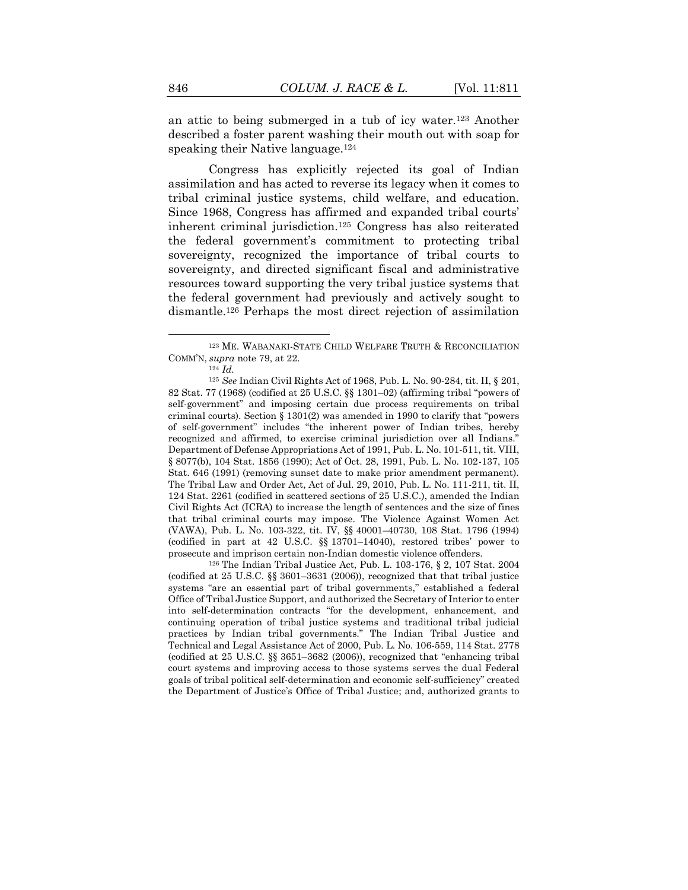an attic to being submerged in a tub of icy water.<sup>123</sup> Another described a foster parent washing their mouth out with soap for speaking their Native language.<sup>124</sup>

Congress has explicitly rejected its goal of Indian assimilation and has acted to reverse its legacy when it comes to tribal criminal justice systems, child welfare, and education. Since 1968, Congress has affirmed and expanded tribal courts' inherent criminal jurisdiction.<sup>125</sup> Congress has also reiterated the federal government's commitment to protecting tribal sovereignty, recognized the importance of tribal courts to sovereignty, and directed significant fiscal and administrative resources toward supporting the very tribal justice systems that the federal government had previously and actively sought to dismantle.<sup>126</sup> Perhaps the most direct rejection of assimilation

<sup>126</sup> The Indian Tribal Justice Act, Pub. L. 103-176, § 2, 107 Stat. 2004 (codified at 25 U.S.C. §§ 3601–3631 (2006)), recognized that that tribal justice systems "are an essential part of tribal governments," established a federal Office of Tribal Justice Support, and authorized the Secretary of Interior to enter into self-determination contracts "for the development, enhancement, and continuing operation of tribal justice systems and traditional tribal judicial practices by Indian tribal governments." The Indian Tribal Justice and Technical and Legal Assistance Act of 2000, Pub. L. No. 106-559, 114 Stat. 2778 (codified at 25 U.S.C. §§ 3651–3682 (2006)), recognized that "enhancing tribal court systems and improving access to those systems serves the dual Federal goals of tribal political self-determination and economic self-sufficiency" created the Department of Justice's Office of Tribal Justice; and, authorized grants to

<sup>123</sup> ME. WABANAKI-STATE CHILD WELFARE TRUTH & RECONCILIATION COMM'N, *supra* not[e 79,](#page-25-1) at 22.

<sup>124</sup> *Id.*

<sup>125</sup> *See* Indian Civil Rights Act of 1968, Pub. L. No. 90-284, tit. II, § 201, 82 Stat. 77 (1968) (codified at 25 U.S.C. §§ 1301–02) (affirming tribal "powers of self-government" and imposing certain due process requirements on tribal criminal courts). Section § 1301(2) was amended in 1990 to clarify that "powers of self-government" includes "the inherent power of Indian tribes, hereby recognized and affirmed, to exercise criminal jurisdiction over all Indians.' Department of Defense Appropriations Act of 1991, Pub. L. No. 101-511, tit. VIII, § 8077(b), 104 Stat. 1856 (1990); Act of Oct. 28, 1991, Pub. L. No. 102-137, 105 Stat. 646 (1991) (removing sunset date to make prior amendment permanent). The Tribal Law and Order Act, Act of Jul. 29, 2010, Pub. L. No. 111-211, tit. II, 124 Stat. 2261 (codified in scattered sections of 25 U.S.C.), amended the Indian Civil Rights Act (ICRA) to increase the length of sentences and the size of fines that tribal criminal courts may impose. The Violence Against Women Act (VAWA), Pub. L. No. 103-322, tit. IV, §§ 40001–40730, 108 Stat. 1796 (1994) (codified in part at 42 U.S.C. §§ 13701–14040), restored tribes' power to prosecute and imprison certain non-Indian domestic violence offenders.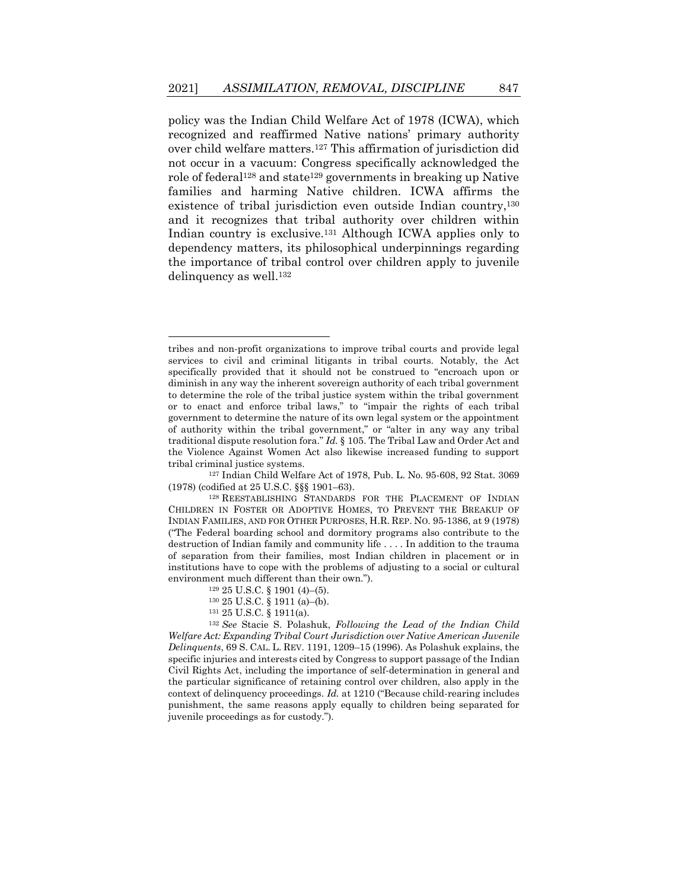policy was the Indian Child Welfare Act of 1978 (ICWA), which recognized and reaffirmed Native nations' primary authority over child welfare matters.<sup>127</sup> This affirmation of jurisdiction did not occur in a vacuum: Congress specifically acknowledged the role of federal<sup>128</sup> and state<sup>129</sup> governments in breaking up Native families and harming Native children. ICWA affirms the existence of tribal jurisdiction even outside Indian country, 130 and it recognizes that tribal authority over children within Indian country is exclusive.<sup>131</sup> Although ICWA applies only to dependency matters, its philosophical underpinnings regarding the importance of tribal control over children apply to juvenile delinquency as well.<sup>132</sup>

tribes and non-profit organizations to improve tribal courts and provide legal services to civil and criminal litigants in tribal courts. Notably, the Act specifically provided that it should not be construed to "encroach upon or diminish in any way the inherent sovereign authority of each tribal government to determine the role of the tribal justice system within the tribal government or to enact and enforce tribal laws," to "impair the rights of each tribal government to determine the nature of its own legal system or the appointment of authority within the tribal government," or "alter in any way any tribal traditional dispute resolution fora." *Id.* § 105. The Tribal Law and Order Act and the Violence Against Women Act also likewise increased funding to support tribal criminal justice systems.

<sup>127</sup> Indian Child Welfare Act of 1978, Pub. L. No. 95-608, 92 Stat. 3069 (1978) (codified at 25 U.S.C. §§§ 1901–63).

<sup>128</sup> REESTABLISHING STANDARDS FOR THE PLACEMENT OF INDIAN CHILDREN IN FOSTER OR ADOPTIVE HOMES, TO PREVENT THE BREAKUP OF INDIAN FAMILIES, AND FOR OTHER PURPOSES, H.R. REP. NO. 95-1386, at 9 (1978) ("The Federal boarding school and dormitory programs also contribute to the destruction of Indian family and community life . . . . In addition to the trauma of separation from their families, most Indian children in placement or in institutions have to cope with the problems of adjusting to a social or cultural environment much different than their own.").

<sup>129</sup> 25 U.S.C. § 1901 (4)–(5).

<sup>130</sup> 25 U.S.C. § 1911 (a)–(b).

<sup>131</sup> 25 U.S.C. § 1911(a).

<sup>132</sup> *See* Stacie S. Polashuk, *Following the Lead of the Indian Child Welfare Act: Expanding Tribal Court Jurisdiction over Native American Juvenile Delinquents*, 69 S. CAL. L. REV. 1191, 1209–15 (1996). As Polashuk explains, the specific injuries and interests cited by Congress to support passage of the Indian Civil Rights Act, including the importance of self-determination in general and the particular significance of retaining control over children, also apply in the context of delinquency proceedings. *Id.* at 1210 ("Because child-rearing includes punishment, the same reasons apply equally to children being separated for juvenile proceedings as for custody.").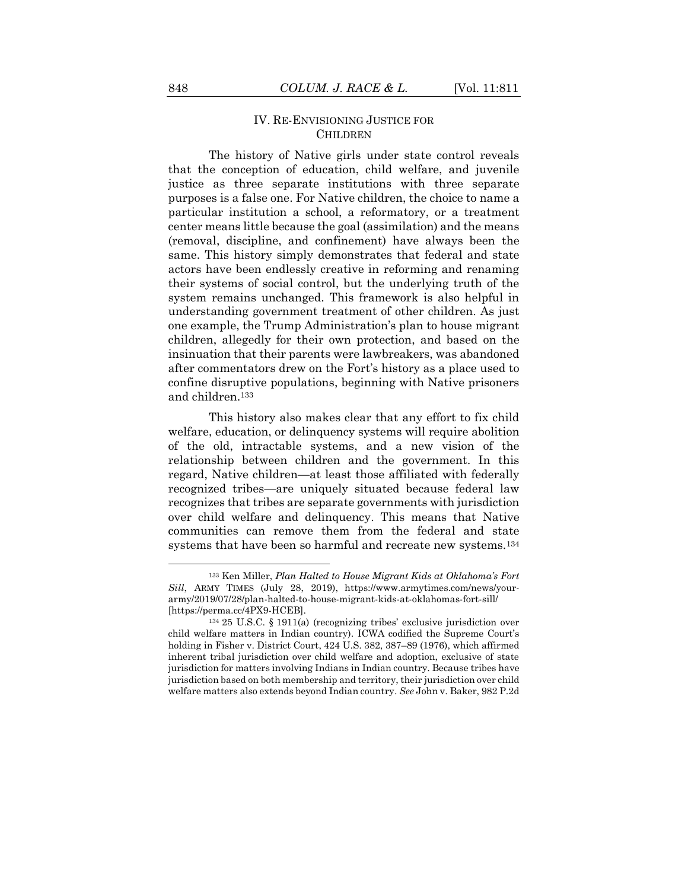#### IV. RE-ENVISIONING JUSTICE FOR CHILDREN

The history of Native girls under state control reveals that the conception of education, child welfare, and juvenile justice as three separate institutions with three separate purposes is a false one. For Native children, the choice to name a particular institution a school, a reformatory, or a treatment center means little because the goal (assimilation) and the means (removal, discipline, and confinement) have always been the same. This history simply demonstrates that federal and state actors have been endlessly creative in reforming and renaming their systems of social control, but the underlying truth of the system remains unchanged. This framework is also helpful in understanding government treatment of other children. As just one example, the Trump Administration's plan to house migrant children, allegedly for their own protection, and based on the insinuation that their parents were lawbreakers, was abandoned after commentators drew on the Fort's history as a place used to confine disruptive populations, beginning with Native prisoners and children.<sup>133</sup>

This history also makes clear that any effort to fix child welfare, education, or delinquency systems will require abolition of the old, intractable systems, and a new vision of the relationship between children and the government. In this regard, Native children—at least those affiliated with federally recognized tribes—are uniquely situated because federal law recognizes that tribes are separate governments with jurisdiction over child welfare and delinquency. This means that Native communities can remove them from the federal and state systems that have been so harmful and recreate new systems.<sup>134</sup>

<sup>133</sup> Ken Miller, *Plan Halted to House Migrant Kids at Oklahoma's Fort Sill*, ARMY TIMES (July 28, 2019), https://www.armytimes.com/news/yourarmy/2019/07/28/plan-halted-to-house-migrant-kids-at-oklahomas-fort-sill/ [https://perma.cc/4PX9-HCEB].

<sup>134</sup> 25 U.S.C. § 1911(a) (recognizing tribes' exclusive jurisdiction over child welfare matters in Indian country). ICWA codified the Supreme Court's holding in Fisher v. District Court, 424 U.S. 382, 387–89 (1976), which affirmed inherent tribal jurisdiction over child welfare and adoption, exclusive of state jurisdiction for matters involving Indians in Indian country. Because tribes have jurisdiction based on both membership and territory, their jurisdiction over child welfare matters also extends beyond Indian country. *See* John v. Baker, 982 P.2d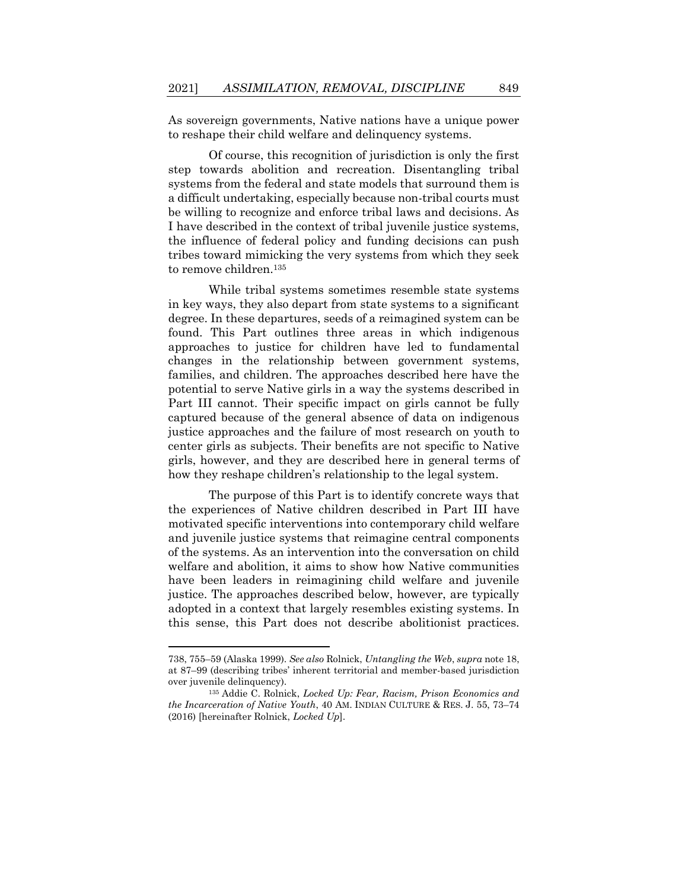As sovereign governments, Native nations have a unique power to reshape their child welfare and delinquency systems.

Of course, this recognition of jurisdiction is only the first step towards abolition and recreation. Disentangling tribal systems from the federal and state models that surround them is a difficult undertaking, especially because non-tribal courts must be willing to recognize and enforce tribal laws and decisions. As I have described in the context of tribal juvenile justice systems, the influence of federal policy and funding decisions can push tribes toward mimicking the very systems from which they seek to remove children.<sup>135</sup>

<span id="page-39-0"></span>While tribal systems sometimes resemble state systems in key ways, they also depart from state systems to a significant degree. In these departures, seeds of a reimagined system can be found. This Part outlines three areas in which indigenous approaches to justice for children have led to fundamental changes in the relationship between government systems, families, and children. The approaches described here have the potential to serve Native girls in a way the systems described in Part III cannot. Their specific impact on girls cannot be fully captured because of the general absence of data on indigenous justice approaches and the failure of most research on youth to center girls as subjects. Their benefits are not specific to Native girls, however, and they are described here in general terms of how they reshape children's relationship to the legal system.

The purpose of this Part is to identify concrete ways that the experiences of Native children described in Part III have motivated specific interventions into contemporary child welfare and juvenile justice systems that reimagine central components of the systems. As an intervention into the conversation on child welfare and abolition, it aims to show how Native communities have been leaders in reimagining child welfare and juvenile justice. The approaches described below, however, are typically adopted in a context that largely resembles existing systems. In this sense, this Part does not describe abolitionist practices.

<sup>738, 755</sup>–59 (Alaska 1999). *See also* Rolnick, *Untangling the Web*, *supra* not[e 18,](#page-8-1) at 87–99 (describing tribes' inherent territorial and member-based jurisdiction over juvenile delinquency).

<sup>135</sup> Addie C. Rolnick, *Locked Up: Fear, Racism, Prison Economics and the Incarceration of Native Youth*, 40 AM. INDIAN CULTURE & RES. J. 55, 73–74 (2016) [hereinafter Rolnick, *Locked Up*].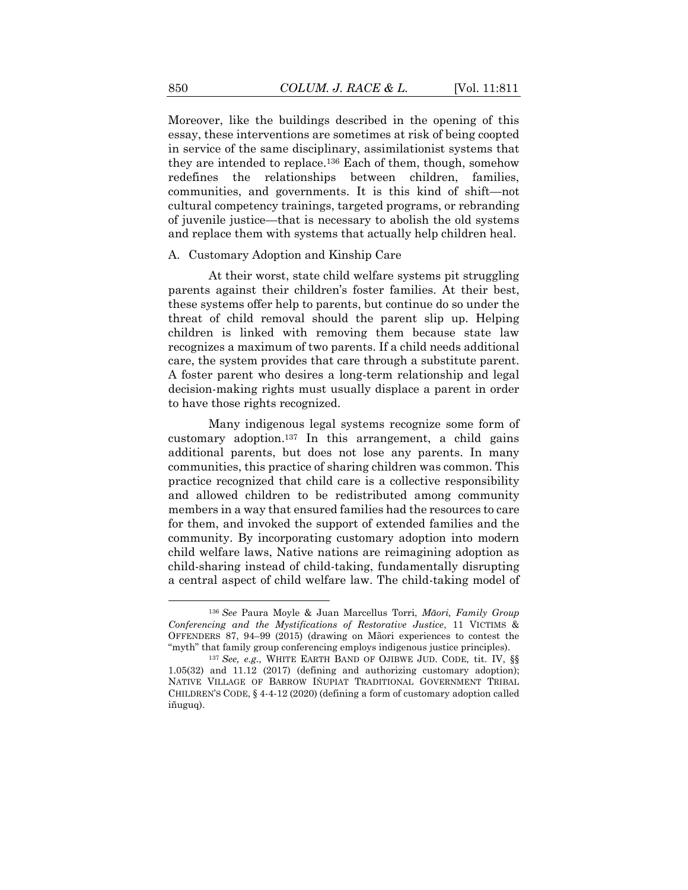Moreover, like the buildings described in the opening of this essay, these interventions are sometimes at risk of being coopted in service of the same disciplinary, assimilationist systems that they are intended to replace.<sup>136</sup> Each of them, though, somehow redefines the relationships between children, families, communities, and governments. It is this kind of shift—not cultural competency trainings, targeted programs, or rebranding of juvenile justice—that is necessary to abolish the old systems and replace them with systems that actually help children heal.

#### A. Customary Adoption and Kinship Care

At their worst, state child welfare systems pit struggling parents against their children's foster families. At their best, these systems offer help to parents, but continue do so under the threat of child removal should the parent slip up. Helping children is linked with removing them because state law recognizes a maximum of two parents. If a child needs additional care, the system provides that care through a substitute parent. A foster parent who desires a long-term relationship and legal decision-making rights must usually displace a parent in order to have those rights recognized.

Many indigenous legal systems recognize some form of customary adoption. <sup>137</sup> In this arrangement, a child gains additional parents, but does not lose any parents. In many communities, this practice of sharing children was common. This practice recognized that child care is a collective responsibility and allowed children to be redistributed among community members in a way that ensured families had the resources to care for them, and invoked the support of extended families and the community. By incorporating customary adoption into modern child welfare laws, Native nations are reimagining adoption as child-sharing instead of child-taking, fundamentally disrupting a central aspect of child welfare law. The child-taking model of

<sup>136</sup> *See* Paura Moyle & Juan Marcellus Torri, *Māori, Family Group Conferencing and the Mystifications of Restorative Justice*, 11 VICTIMS & OFFENDERS 87, 94–99 (2015) (drawing on Māori experiences to contest the "myth" that family group conferencing employs indigenous justice principles).

<sup>137</sup> *See, e.g.*, WHITE EARTH BAND OF OJIBWE JUD. CODE, tit. IV, §§ 1.05(32) and 11.12 (2017) (defining and authorizing customary adoption); NATIVE VILLAGE OF BARROW IÑUPIAT TRADITIONAL GOVERNMENT TRIBAL CHILDREN'S CODE, § 4-4-12 (2020) (defining a form of customary adoption called iñuguq).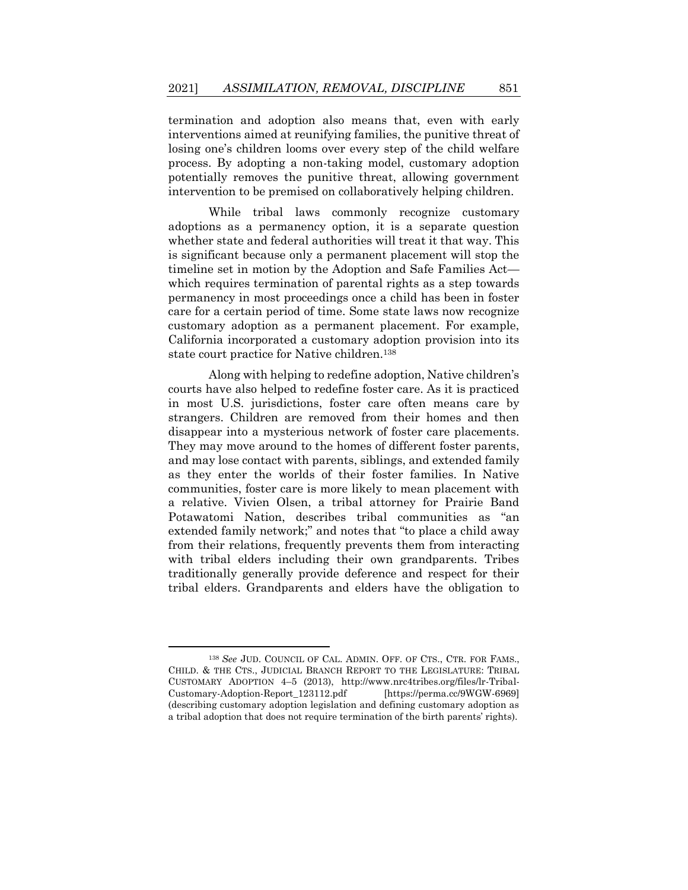termination and adoption also means that, even with early interventions aimed at reunifying families, the punitive threat of losing one's children looms over every step of the child welfare process. By adopting a non-taking model, customary adoption potentially removes the punitive threat, allowing government intervention to be premised on collaboratively helping children.

While tribal laws commonly recognize customary adoptions as a permanency option, it is a separate question whether state and federal authorities will treat it that way. This is significant because only a permanent placement will stop the timeline set in motion by the Adoption and Safe Families Act which requires termination of parental rights as a step towards permanency in most proceedings once a child has been in foster care for a certain period of time. Some state laws now recognize customary adoption as a permanent placement. For example, California incorporated a customary adoption provision into its state court practice for Native children.<sup>138</sup>

Along with helping to redefine adoption, Native children's courts have also helped to redefine foster care. As it is practiced in most U.S. jurisdictions, foster care often means care by strangers. Children are removed from their homes and then disappear into a mysterious network of foster care placements. They may move around to the homes of different foster parents, and may lose contact with parents, siblings, and extended family as they enter the worlds of their foster families. In Native communities, foster care is more likely to mean placement with a relative. Vivien Olsen, a tribal attorney for Prairie Band Potawatomi Nation, describes tribal communities as "an extended family network;" and notes that "to place a child away from their relations, frequently prevents them from interacting with tribal elders including their own grandparents. Tribes traditionally generally provide deference and respect for their tribal elders. Grandparents and elders have the obligation to

<sup>138</sup> *See* JUD. COUNCIL OF CAL. ADMIN. OFF. OF CTS., CTR. FOR FAMS., CHILD. & THE CTS., JUDICIAL BRANCH REPORT TO THE LEGISLATURE: TRIBAL CUSTOMARY ADOPTION 4–5 (2013), http://www.nrc4tribes.org/files/lr-Tribal-Customary-Adoption-Report\_123112.pdf [https://perma.cc/9WGW-6969] (describing customary adoption legislation and defining customary adoption as a tribal adoption that does not require termination of the birth parents' rights).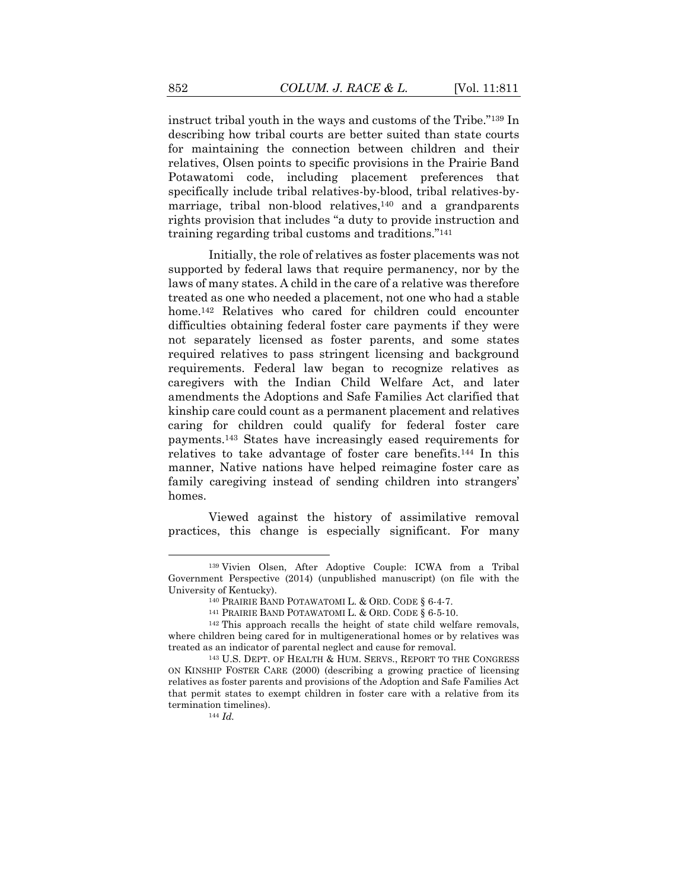instruct tribal youth in the ways and customs of the Tribe."<sup>139</sup> In describing how tribal courts are better suited than state courts for maintaining the connection between children and their relatives, Olsen points to specific provisions in the Prairie Band Potawatomi code, including placement preferences that specifically include tribal relatives-by-blood, tribal relatives-bymarriage, tribal non-blood relatives,<sup>140</sup> and a grandparents rights provision that includes "a duty to provide instruction and training regarding tribal customs and traditions."<sup>141</sup>

Initially, the role of relatives as foster placements was not supported by federal laws that require permanency, nor by the laws of many states. A child in the care of a relative was therefore treated as one who needed a placement, not one who had a stable home.<sup>142</sup> Relatives who cared for children could encounter difficulties obtaining federal foster care payments if they were not separately licensed as foster parents, and some states required relatives to pass stringent licensing and background requirements. Federal law began to recognize relatives as caregivers with the Indian Child Welfare Act, and later amendments the Adoptions and Safe Families Act clarified that kinship care could count as a permanent placement and relatives caring for children could qualify for federal foster care payments.<sup>143</sup> States have increasingly eased requirements for relatives to take advantage of foster care benefits.<sup>144</sup> In this manner, Native nations have helped reimagine foster care as family caregiving instead of sending children into strangers' homes.

Viewed against the history of assimilative removal practices, this change is especially significant. For many

<sup>144</sup> *Id.*

<sup>139</sup> Vivien Olsen, After Adoptive Couple: ICWA from a Tribal Government Perspective (2014) (unpublished manuscript) (on file with the University of Kentucky).

<sup>140</sup> PRAIRIE BAND POTAWATOMI L. & ORD. CODE § 6-4-7.

<sup>141</sup> PRAIRIE BAND POTAWATOMI L. & ORD. CODE § 6-5-10.

<sup>142</sup> This approach recalls the height of state child welfare removals, where children being cared for in multigenerational homes or by relatives was treated as an indicator of parental neglect and cause for removal.

<sup>143</sup> U.S. DEPT. OF HEALTH & HUM. SERVS., REPORT TO THE CONGRESS ON KINSHIP FOSTER CARE (2000) (describing a growing practice of licensing relatives as foster parents and provisions of the Adoption and Safe Families Act that permit states to exempt children in foster care with a relative from its termination timelines).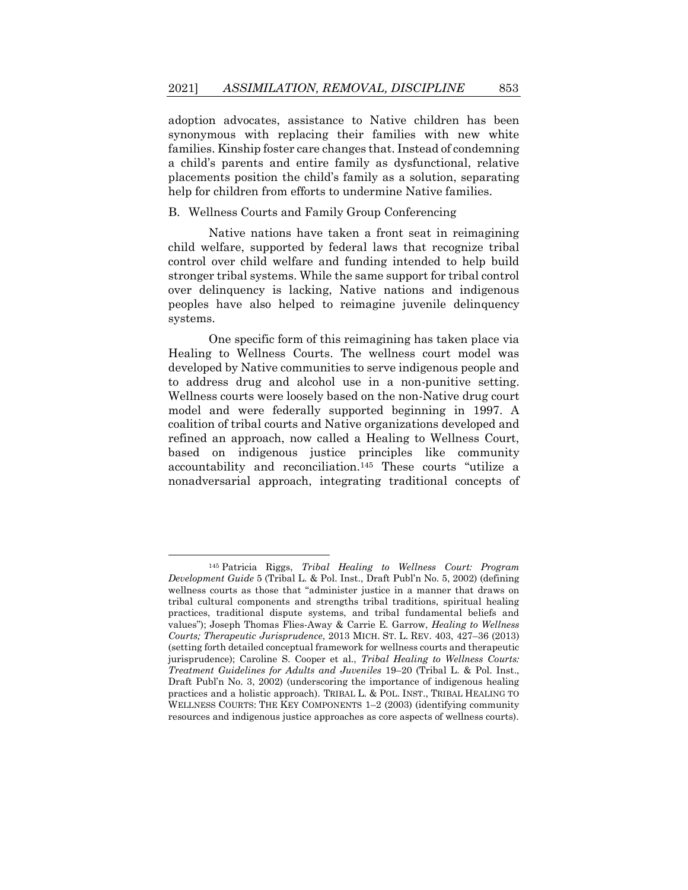adoption advocates, assistance to Native children has been synonymous with replacing their families with new white families. Kinship foster care changes that. Instead of condemning a child's parents and entire family as dysfunctional, relative placements position the child's family as a solution, separating help for children from efforts to undermine Native families.

#### B. Wellness Courts and Family Group Conferencing

Native nations have taken a front seat in reimagining child welfare, supported by federal laws that recognize tribal control over child welfare and funding intended to help build stronger tribal systems. While the same support for tribal control over delinquency is lacking, Native nations and indigenous peoples have also helped to reimagine juvenile delinquency systems.

One specific form of this reimagining has taken place via Healing to Wellness Courts. The wellness court model was developed by Native communities to serve indigenous people and to address drug and alcohol use in a non-punitive setting. Wellness courts were loosely based on the non-Native drug court model and were federally supported beginning in 1997. A coalition of tribal courts and Native organizations developed and refined an approach, now called a Healing to Wellness Court, based on indigenous justice principles like community accountability and reconciliation.<sup>145</sup> These courts "utilize a nonadversarial approach, integrating traditional concepts of

<sup>145</sup> Patricia Riggs, *Tribal Healing to Wellness Court: Program Development Guide* 5 (Tribal L. & Pol. Inst., Draft Publ'n No. 5, 2002) (defining wellness courts as those that "administer justice in a manner that draws on tribal cultural components and strengths tribal traditions, spiritual healing practices, traditional dispute systems, and tribal fundamental beliefs and values"); Joseph Thomas Flies-Away & Carrie E. Garrow, *Healing to Wellness Courts; Therapeutic Jurisprudence*, 2013 MICH. ST. L. REV. 403, 427–36 (2013) (setting forth detailed conceptual framework for wellness courts and therapeutic jurisprudence); Caroline S. Cooper et al., *Tribal Healing to Wellness Courts: Treatment Guidelines for Adults and Juveniles* 19–20 (Tribal L. & Pol. Inst., Draft Publ'n No. 3, 2002) (underscoring the importance of indigenous healing practices and a holistic approach). TRIBAL L. & POL. INST., TRIBAL HEALING TO WELLNESS COURTS: THE KEY COMPONENTS 1–2 (2003) (identifying community resources and indigenous justice approaches as core aspects of wellness courts).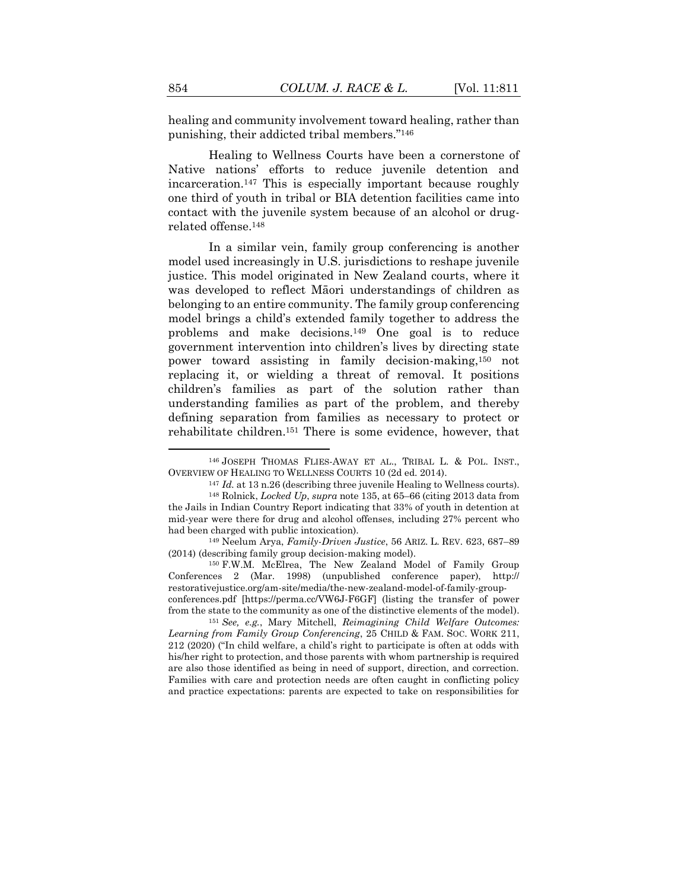healing and community involvement toward healing, rather than punishing, their addicted tribal members."<sup>146</sup>

Healing to Wellness Courts have been a cornerstone of Native nations' efforts to reduce juvenile detention and incarceration.<sup>147</sup> This is especially important because roughly one third of youth in tribal or BIA detention facilities came into contact with the juvenile system because of an alcohol or drugrelated offense.<sup>148</sup>

In a similar vein, family group conferencing is another model used increasingly in U.S. jurisdictions to reshape juvenile justice. This model originated in New Zealand courts, where it was developed to reflect Māori understandings of children as belonging to an entire community. The family group conferencing model brings a child's extended family together to address the problems and make decisions.<sup>149</sup> One goal is to reduce government intervention into children's lives by directing state power toward assisting in family decision-making,<sup>150</sup> not replacing it, or wielding a threat of removal. It positions children's families as part of the solution rather than understanding families as part of the problem, and thereby defining separation from families as necessary to protect or rehabilitate children.<sup>151</sup> There is some evidence, however, that

<sup>150</sup> F.W.M. McElrea, The New Zealand Model of Family Group Conferences 2 (Mar. 1998) (unpublished conference paper), http:// restorativejustice.org/am-site/media/the-new-zealand-model-of-family-groupconferences.pdf [https://perma.cc/VW6J-F6GF] (listing the transfer of power

from the state to the community as one of the distinctive elements of the model). <sup>151</sup> *See, e.g.*, Mary Mitchell, *Reimagining Child Welfare Outcomes:* 

*Learning from Family Group Conferencing*, 25 CHILD & FAM. SOC. WORK 211, 212 (2020) ("In child welfare, a child's right to participate is often at odds with his/her right to protection, and those parents with whom partnership is required are also those identified as being in need of support, direction, and correction. Families with care and protection needs are often caught in conflicting policy and practice expectations: parents are expected to take on responsibilities for

<sup>146</sup> JOSEPH THOMAS FLIES-AWAY ET AL., TRIBAL L. & POL. INST., OVERVIEW OF HEALING TO WELLNESS COURTS 10 (2d ed. 2014).

<sup>147</sup> *Id.* at 13 n.26 (describing three juvenile Healing to Wellness courts).

<sup>148</sup> Rolnick, *Locked Up*, *supra* not[e 135,](#page-39-0) at 65–66 (citing 2013 data from the Jails in Indian Country Report indicating that 33% of youth in detention at mid-year were there for drug and alcohol offenses, including 27% percent who had been charged with public intoxication).

<sup>149</sup> Neelum Arya, *Family-Driven Justice*, 56 ARIZ. L. REV. 623, 687–89 (2014) (describing family group decision-making model).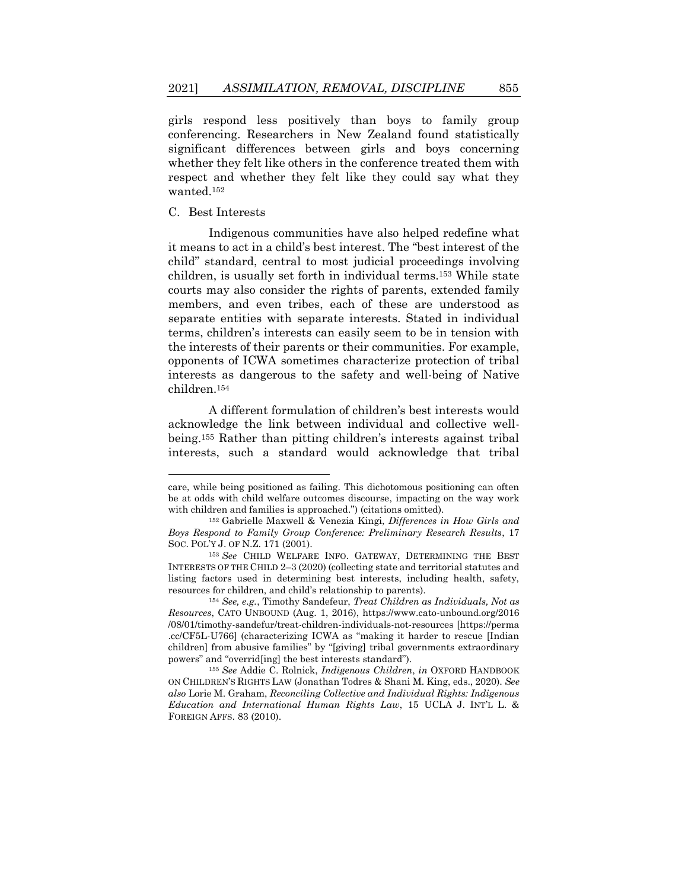girls respond less positively than boys to family group conferencing. Researchers in New Zealand found statistically significant differences between girls and boys concerning whether they felt like others in the conference treated them with respect and whether they felt like they could say what they wanted.<sup>152</sup>

#### C. Best Interests

Indigenous communities have also helped redefine what it means to act in a child's best interest. The "best interest of the child" standard, central to most judicial proceedings involving children, is usually set forth in individual terms.<sup>153</sup> While state courts may also consider the rights of parents, extended family members, and even tribes, each of these are understood as separate entities with separate interests. Stated in individual terms, children's interests can easily seem to be in tension with the interests of their parents or their communities. For example, opponents of ICWA sometimes characterize protection of tribal interests as dangerous to the safety and well-being of Native children.<sup>154</sup>

A different formulation of children's best interests would acknowledge the link between individual and collective wellbeing.<sup>155</sup> Rather than pitting children's interests against tribal interests, such a standard would acknowledge that tribal

care, while being positioned as failing. This dichotomous positioning can often be at odds with child welfare outcomes discourse, impacting on the way work with children and families is approached.") (citations omitted).

<sup>152</sup> Gabrielle Maxwell & Venezia Kingi, *Differences in How Girls and Boys Respond to Family Group Conference: Preliminary Research Results*, 17 SOC. POL'Y J. OF N.Z. 171 (2001).

<sup>153</sup> *See* CHILD WELFARE INFO. GATEWAY, DETERMINING THE BEST INTERESTS OF THE CHILD 2–3 (2020) (collecting state and territorial statutes and listing factors used in determining best interests, including health, safety, resources for children, and child's relationship to parents).

<sup>154</sup> *See, e.g.*, Timothy Sandefeur, *Treat Children as Individuals, Not as Resources*, CATO UNBOUND (Aug. 1, 2016), https://www.cato-unbound.org/2016 /08/01/timothy-sandefur/treat-children-individuals-not-resources [https://perma .cc/CF5L-U766] (characterizing ICWA as "making it harder to rescue [Indian children] from abusive families" by "[giving] tribal governments extraordinary powers" and "overrid[ing] the best interests standard").

<sup>155</sup> *See* Addie C. Rolnick, *Indigenous Children*, *in* OXFORD HANDBOOK ON CHILDREN'S RIGHTS LAW (Jonathan Todres & Shani M. King, eds., 2020). *See also* Lorie M. Graham, *Reconciling Collective and Individual Rights: Indigenous Education and International Human Rights Law*, 15 UCLA J. INT'L L. & FOREIGN AFFS. 83 (2010).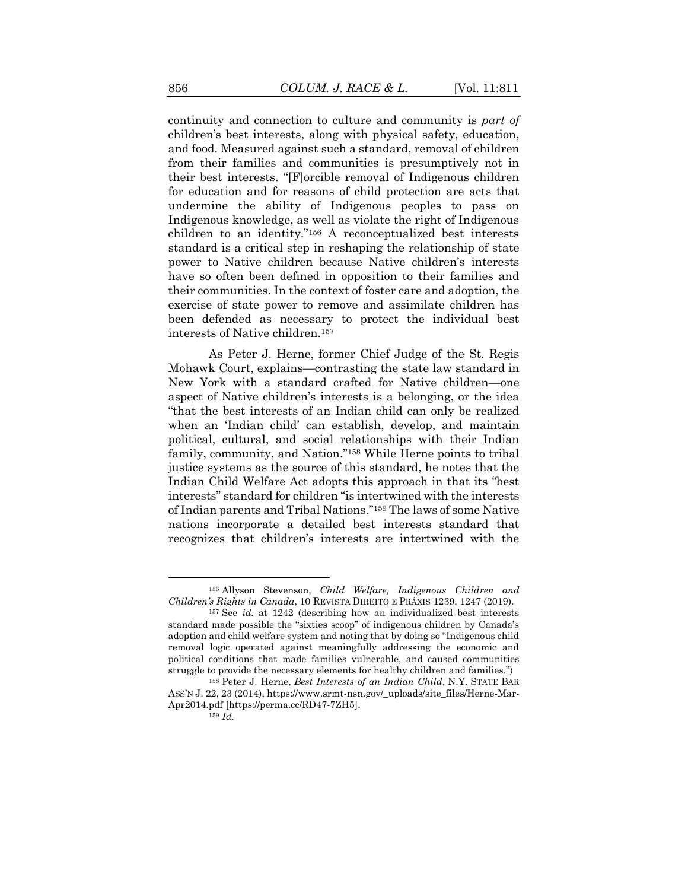continuity and connection to culture and community is *part of* children's best interests, along with physical safety, education, and food. Measured against such a standard, removal of children from their families and communities is presumptively not in their best interests. "[F]orcible removal of Indigenous children for education and for reasons of child protection are acts that undermine the ability of Indigenous peoples to pass on Indigenous knowledge, as well as violate the right of Indigenous children to an identity."<sup>156</sup> A reconceptualized best interests standard is a critical step in reshaping the relationship of state power to Native children because Native children's interests have so often been defined in opposition to their families and their communities. In the context of foster care and adoption, the exercise of state power to remove and assimilate children has been defended as necessary to protect the individual best interests of Native children.<sup>157</sup>

As Peter J. Herne, former Chief Judge of the St. Regis Mohawk Court, explains—contrasting the state law standard in New York with a standard crafted for Native children—one aspect of Native children's interests is a belonging, or the idea "that the best interests of an Indian child can only be realized when an 'Indian child' can establish, develop, and maintain political, cultural, and social relationships with their Indian family, community, and Nation."<sup>158</sup> While Herne points to tribal justice systems as the source of this standard, he notes that the Indian Child Welfare Act adopts this approach in that its "best interests" standard for children "is intertwined with the interests of Indian parents and Tribal Nations."<sup>159</sup> The laws of some Native nations incorporate a detailed best interests standard that recognizes that children's interests are intertwined with the

<sup>156</sup> Allyson Stevenson, *Child Welfare, Indigenous Children and Children's Rights in Canada*, 10 REVISTA DIREITO E PRÁXIS 1239, 1247 (2019).

<sup>157</sup> See *id.* at 1242 (describing how an individualized best interests standard made possible the "sixties scoop" of indigenous children by Canada's adoption and child welfare system and noting that by doing so "Indigenous child removal logic operated against meaningfully addressing the economic and political conditions that made families vulnerable, and caused communities struggle to provide the necessary elements for healthy children and families.")

<sup>158</sup> Peter J. Herne, *Best Interests of an Indian Child*, N.Y. STATE BAR ASS'N J. 22, 23 (2014), https://www.srmt-nsn.gov/\_uploads/site\_files/Herne-Mar-Apr2014.pdf [https://perma.cc/RD47-7ZH5].

<sup>159</sup> *Id.*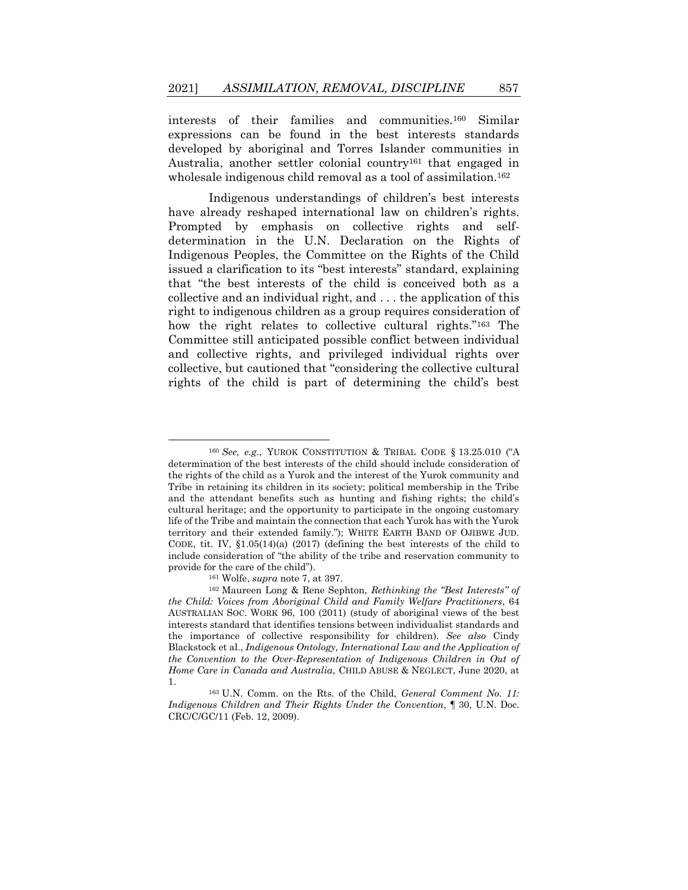interests of their families and communities.<sup>160</sup> Similar expressions can be found in the best interests standards developed by aboriginal and Torres Islander communities in Australia, another settler colonial country<sup>161</sup> that engaged in wholesale indigenous child removal as a tool of assimilation.<sup>162</sup>

Indigenous understandings of children's best interests have already reshaped international law on children's rights. Prompted by emphasis on collective rights and selfdetermination in the U.N. Declaration on the Rights of Indigenous Peoples, the Committee on the Rights of the Child issued a clarification to its "best interests" standard, explaining that "the best interests of the child is conceived both as a collective and an individual right, and . . . the application of this right to indigenous children as a group requires consideration of how the right relates to collective cultural rights."<sup>163</sup> The Committee still anticipated possible conflict between individual and collective rights, and privileged individual rights over collective, but cautioned that "considering the collective cultural rights of the child is part of determining the child's best

<sup>161</sup> Wolfe, *supra* not[e 7,](#page-5-1) at 397.

<sup>160</sup> *See, e.g.*, YUROK CONSTITUTION & TRIBAL CODE § 13.25.010 ("A determination of the best interests of the child should include consideration of the rights of the child as a Yurok and the interest of the Yurok community and Tribe in retaining its children in its society; political membership in the Tribe and the attendant benefits such as hunting and fishing rights; the child's cultural heritage; and the opportunity to participate in the ongoing customary life of the Tribe and maintain the connection that each Yurok has with the Yurok territory and their extended family."); WHITE EARTH BAND OF OJIBWE JUD. CODE, tit. IV, §1.05(14)(a) (2017) (defining the best interests of the child to include consideration of "the ability of the tribe and reservation community to provide for the care of the child").

<sup>162</sup> Maureen Long & Rene Sephton, *Rethinking the "Best Interests" of the Child: Voices from Aboriginal Child and Family Welfare Practitioners*, 64 AUSTRALIAN SOC. WORK 96, 100 (2011) (study of aboriginal views of the best interests standard that identifies tensions between individualist standards and the importance of collective responsibility for children). *See also* Cindy Blackstock et al., *Indigenous Ontology, International Law and the Application of the Convention to the Over-Representation of Indigenous Children in Out of Home Care in Canada and Australia*, CHILD ABUSE & NEGLECT, June 2020, at 1.

<sup>163</sup> U.N. Comm. on the Rts. of the Child, *General Comment No. 11: Indigenous Children and Their Rights Under the Convention*, ¶ 30, U.N. Doc. CRC/C/GC/11 (Feb. 12, 2009).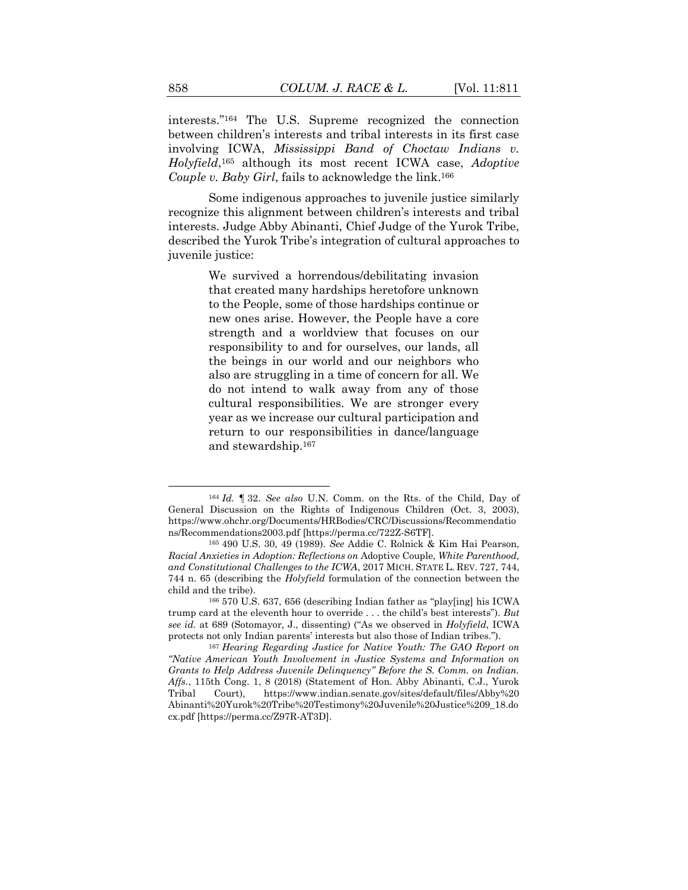interests."<sup>164</sup> The U.S. Supreme recognized the connection between children's interests and tribal interests in its first case involving ICWA, *Mississippi Band of Choctaw Indians v. Holyfield*, <sup>165</sup> although its most recent ICWA case, *Adoptive Couple v. Baby Girl*, fails to acknowledge the link.<sup>166</sup>

Some indigenous approaches to juvenile justice similarly recognize this alignment between children's interests and tribal interests. Judge Abby Abinanti, Chief Judge of the Yurok Tribe, described the Yurok Tribe's integration of cultural approaches to juvenile justice:

> We survived a horrendous/debilitating invasion that created many hardships heretofore unknown to the People, some of those hardships continue or new ones arise. However, the People have a core strength and a worldview that focuses on our responsibility to and for ourselves, our lands, all the beings in our world and our neighbors who also are struggling in a time of concern for all. We do not intend to walk away from any of those cultural responsibilities. We are stronger every year as we increase our cultural participation and return to our responsibilities in dance/language and stewardship.<sup>167</sup>

<sup>164</sup> *Id.* ¶ 32. *See also* U.N. Comm. on the Rts. of the Child, Day of General Discussion on the Rights of Indigenous Children (Oct. 3, 2003), https://www.ohchr.org/Documents/HRBodies/CRC/Discussions/Recommendatio ns/Recommendations2003.pdf [https://perma.cc/722Z-S6TF].

<sup>165</sup> 490 U.S. 30, 49 (1989). *See* Addie C. Rolnick & Kim Hai Pearson, *Racial Anxieties in Adoption: Reflections on* Adoptive Couple*, White Parenthood, and Constitutional Challenges to the ICWA*, 2017 MICH. STATE L. REV. 727, 744, 744 n. 65 (describing the *Holyfield* formulation of the connection between the child and the tribe).

<sup>166</sup> 570 U.S. 637, 656 (describing Indian father as "play[ing] his ICWA trump card at the eleventh hour to override . . . the child's best interests"). *But see id.* at 689 (Sotomayor, J., dissenting) ("As we observed in *Holyfield*, ICWA protects not only Indian parents' interests but also those of Indian tribes.").

<sup>167</sup> *Hearing Regarding Justice for Native Youth: The GAO Report on "Native American Youth Involvement in Justice Systems and Information on Grants to Help Address Juvenile Delinquency" Before the S. Comm. on Indian. Affs.*, 115th Cong. 1, 8 (2018) (Statement of Hon. Abby Abinanti, C.J., Yurok Tribal Court), https://www.indian.senate.gov/sites/default/files/Abby%20 Abinanti%20Yurok%20Tribe%20Testimony%20Juvenile%20Justice%209\_18.do cx.pdf [https://perma.cc/Z97R-AT3D].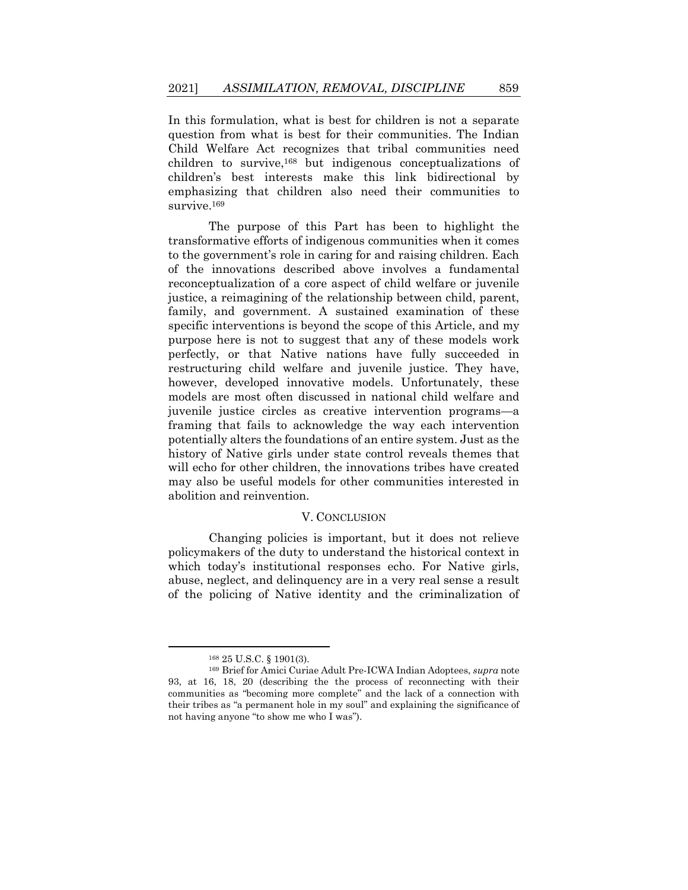In this formulation, what is best for children is not a separate question from what is best for their communities. The Indian Child Welfare Act recognizes that tribal communities need children to survive,<sup>168</sup> but indigenous conceptualizations of children's best interests make this link bidirectional by emphasizing that children also need their communities to survive.<sup>169</sup>

The purpose of this Part has been to highlight the transformative efforts of indigenous communities when it comes to the government's role in caring for and raising children. Each of the innovations described above involves a fundamental reconceptualization of a core aspect of child welfare or juvenile justice, a reimagining of the relationship between child, parent, family, and government. A sustained examination of these specific interventions is beyond the scope of this Article, and my purpose here is not to suggest that any of these models work perfectly, or that Native nations have fully succeeded in restructuring child welfare and juvenile justice. They have, however, developed innovative models. Unfortunately, these models are most often discussed in national child welfare and juvenile justice circles as creative intervention programs—a framing that fails to acknowledge the way each intervention potentially alters the foundations of an entire system. Just as the history of Native girls under state control reveals themes that will echo for other children, the innovations tribes have created may also be useful models for other communities interested in abolition and reinvention.

#### V. CONCLUSION

Changing policies is important, but it does not relieve policymakers of the duty to understand the historical context in which today's institutional responses echo. For Native girls, abuse, neglect, and delinquency are in a very real sense a result of the policing of Native identity and the criminalization of

<sup>168</sup> 25 U.S.C. § 1901(3).

<sup>169</sup> Brief for Amici Curiae Adult Pre-ICWA Indian Adoptees, *supra* note 93, at 16, 18, 20 (describing the the process of reconnecting with their communities as "becoming more complete" and the lack of a connection with their tribes as "a permanent hole in my soul" and explaining the significance of not having anyone "to show me who I was").